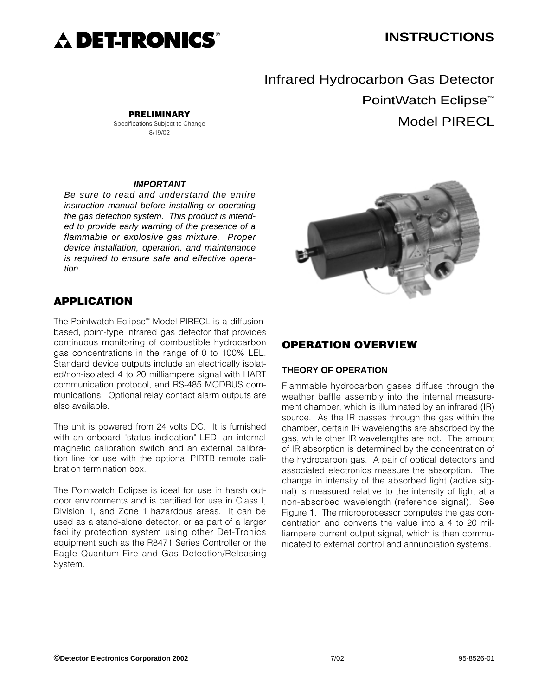

# **INSTRUCTIONS**

Infrared Hydrocarbon Gas Detector PointWatch Eclipse<sup>™</sup> Model PIRECL

#### **IMPORTANT**

**PRELIMINARY** Specifications Subject to Change 8/19/02

Be sure to read and understand the entire instruction manual before installing or operating the gas detection system. This product is intended to provide early warning of the presence of a flammable or explosive gas mixture. Proper device installation, operation, and maintenance is required to ensure safe and effective operation.

# **APPLICATION**

The Pointwatch Eclipse™ Model PIRECL is a diffusionbased, point-type infrared gas detector that provides continuous monitoring of combustible hydrocarbon gas concentrations in the range of 0 to 100% LEL. Standard device outputs include an electrically isolated/non-isolated 4 to 20 milliampere signal with HART communication protocol, and RS-485 MODBUS communications. Optional relay contact alarm outputs are also available.

The unit is powered from 24 volts DC. It is furnished with an onboard "status indication" LED, an internal magnetic calibration switch and an external calibration line for use with the optional PIRTB remote calibration termination box.

The Pointwatch Eclipse is ideal for use in harsh outdoor environments and is certified for use in Class I, Division 1, and Zone 1 hazardous areas. It can be used as a stand-alone detector, or as part of a larger facility protection system using other Det-Tronics equipment such as the R8471 Series Controller or the Eagle Quantum Fire and Gas Detection/Releasing System.



## **OPERATION OVERVIEW**

#### **THEORY OF OPERATION**

Flammable hydrocarbon gases diffuse through the weather baffle assembly into the internal measurement chamber, which is illuminated by an infrared (IR) source. As the IR passes through the gas within the chamber, certain IR wavelengths are absorbed by the gas, while other IR wavelengths are not. The amount of IR absorption is determined by the concentration of the hydrocarbon gas. A pair of optical detectors and associated electronics measure the absorption. The change in intensity of the absorbed light (active signal) is measured relative to the intensity of light at a non-absorbed wavelength (reference signal). See Figure 1. The microprocessor computes the gas concentration and converts the value into a 4 to 20 milliampere current output signal, which is then communicated to external control and annunciation systems.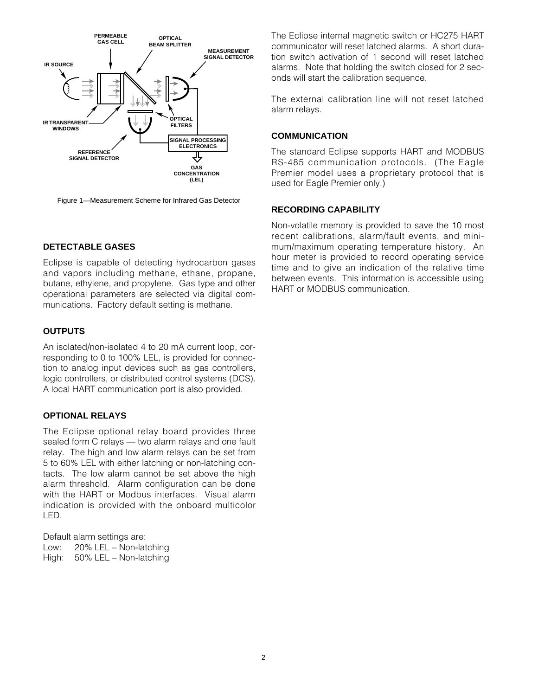

Figure 1—Measurement Scheme for Infrared Gas Detector

## **DETECTABLE GASES**

Eclipse is capable of detecting hydrocarbon gases and vapors including methane, ethane, propane, butane, ethylene, and propylene. Gas type and other operational parameters are selected via digital communications. Factory default setting is methane.

## **OUTPUTS**

An isolated/non-isolated 4 to 20 mA current loop, corresponding to 0 to 100% LEL, is provided for connection to analog input devices such as gas controllers, logic controllers, or distributed control systems (DCS). A local HART communication port is also provided.

## **OPTIONAL RELAYS**

The Eclipse optional relay board provides three sealed form C relays — two alarm relays and one fault relay. The high and low alarm relays can be set from 5 to 60% LEL with either latching or non-latching contacts. The low alarm cannot be set above the high alarm threshold. Alarm configuration can be done with the HART or Modbus interfaces. Visual alarm indication is provided with the onboard multicolor LED.

Default alarm settings are: Low: 20% LEL – Non-latching High: 50% LEL – Non-latching The Eclipse internal magnetic switch or HC275 HART communicator will reset latched alarms. A short duration switch activation of 1 second will reset latched alarms. Note that holding the switch closed for 2 seconds will start the calibration sequence.

The external calibration line will not reset latched alarm relays.

#### **COMMUNICATION**

The standard Eclipse supports HART and MODBUS RS-485 communication protocols. (The Eagle Premier model uses a proprietary protocol that is used for Eagle Premier only.)

## **RECORDING CAPABILITY**

Non-volatile memory is provided to save the 10 most recent calibrations, alarm/fault events, and minimum/maximum operating temperature history. An hour meter is provided to record operating service time and to give an indication of the relative time between events. This information is accessible using HART or MODBUS communication.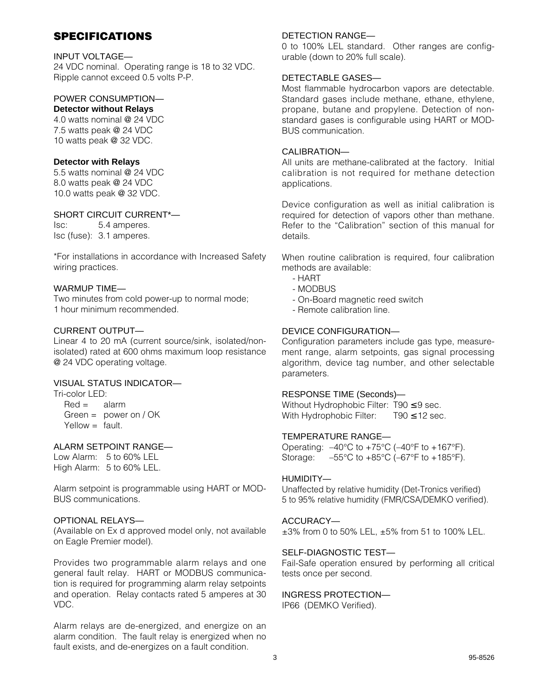# **SPECIFICATIONS**

#### INPUT VOLTAGE—

24 VDC nominal. Operating range is 18 to 32 VDC. Ripple cannot exceed 0.5 volts P-P.

## POWER CONSUMPTION—

# **Detector without Relays**

4.0 watts nominal @ 24 VDC 7.5 watts peak @ 24 VDC 10 watts peak @ 32 VDC.

#### **Detector with Relays**

5.5 watts nominal @ 24 VDC 8.0 watts peak @ 24 VDC 10.0 watts peak @ 32 VDC.

## SHORT CIRCUIT CURRENT\*—

Isc: 5.4 amperes. Isc (fuse): 3.1 amperes.

\*For installations in accordance with Increased Safety wiring practices.

#### WARMUP TIME—

Two minutes from cold power-up to normal mode; 1 hour minimum recommended.

## CURRENT OUTPUT—

Linear 4 to 20 mA (current source/sink, isolated/nonisolated) rated at 600 ohms maximum loop resistance @ 24 VDC operating voltage.

## VISUAL STATUS INDICATOR—

Tri-color LED:

 $Red =$  alarm Green = power on / OK  $Y$ ellow  $=$  fault.

## ALARM SETPOINT RANGE—

Low Alarm: 5 to 60% LEL High Alarm: 5 to 60% LEL.

Alarm setpoint is programmable using HART or MOD-BUS communications.

## OPTIONAL RELAYS—

(Available on Ex d approved model only, not available on Eagle Premier model).

Provides two programmable alarm relays and one general fault relay. HART or MODBUS communication is required for programming alarm relay setpoints and operation. Relay contacts rated 5 amperes at 30 VDC.

Alarm relays are de-energized, and energize on an alarm condition. The fault relay is energized when no fault exists, and de-energizes on a fault condition.

## DETECTION RANGE—

0 to 100% LEL standard. Other ranges are configurable (down to 20% full scale).

## DETECTABLE GASES—

Most flammable hydrocarbon vapors are detectable. Standard gases include methane, ethane, ethylene, propane, butane and propylene. Detection of nonstandard gases is configurable using HART or MOD-BUS communication.

## CALIBRATION—

All units are methane-calibrated at the factory. Initial calibration is not required for methane detection applications.

Device configuration as well as initial calibration is required for detection of vapors other than methane. Refer to the "Calibration" section of this manual for details.

When routine calibration is required, four calibration methods are available:

- HART
- MODBUS
- On-Board magnetic reed switch
- Remote calibration line.

## DEVICE CONFIGURATION—

Configuration parameters include gas type, measurement range, alarm setpoints, gas signal processing algorithm, device tag number, and other selectable parameters.

## RESPONSE TIME (Seconds)—

Without Hydrophobic Filter: T90 ≤ 9 sec. With Hydrophobic Filter: T90 ≤ 12 sec.

## TEMPERATURE RANGE—

Operating:  $-40^{\circ}$ C to  $+75^{\circ}$ C ( $-40^{\circ}$ F to  $+167^{\circ}$ F). Storage:  $-55^{\circ}$ C to  $+85^{\circ}$ C ( $-67^{\circ}$ F to  $+185^{\circ}$ F).

#### HUMIDITY—

Unaffected by relative humidity (Det-Tronics verified) 5 to 95% relative humidity (FMR/CSA/DEMKO verified).

#### ACCURACY—

±3% from 0 to 50% LEL, ±5% from 51 to 100% LEL.

#### SELF-DIAGNOSTIC TEST—

Fail-Safe operation ensured by performing all critical tests once per second.

## INGRESS PROTECTION—

IP66 (DEMKO Verified).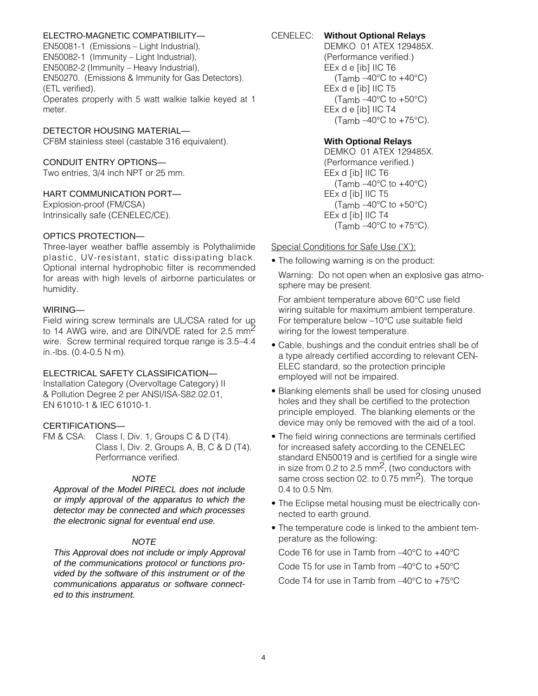## ELECTRO-MAGNETIC COMPATIBILITY—

EN50081-1 (Emissions – Light Industrial), EN50082-1 (Immunity – Light Industrial), EN50082-2 (Immunity – Heavy Industrial), EN50270. (Emissions & Immunity for Gas Detectors). (ETL verified). Operates properly with 5 watt walkie talkie keyed at 1

#### DETECTOR HOUSING MATERIAL—

CF8M stainless steel (castable 316 equivalent).

#### CONDUIT ENTRY OPTIONS—

Two entries, 3/4 inch NPT or 25 mm.

#### HART COMMUNICATION PORT—

Explosion-proof (FM/CSA) Intrinsically safe (CENELEC/CE).

#### OPTICS PROTECTION—

Three-layer weather baffle assembly is Polythalimide plastic, UV-resistant, static dissipating black. Optional internal hydrophobic filter is recommended for areas with high levels of airborne particulates or humidity.

#### WIRING—

meter.

Field wiring screw terminals are UL/CSA rated for up to 14 AWG wire, and are DIN/VDE rated for 2.5  $mm<sup>2</sup>$ wire. Screw terminal required torque range is 3.5–4.4 in.-lbs. (0.4-0.5 N·m).

#### ELECTRICAL SAFETY CLASSIFICATION—

Installation Category (Overvoltage Category) II & Pollution Degree 2 per ANSI/ISA-S82.02.01, EN 61010-1 & IEC 61010-1.

#### CERTIFICATIONS—

FM & CSA: Class I, Div. 1, Groups C & D (T4). Class I, Div. 2, Groups A, B, C & D (T4). Performance verified.

#### **NOTE**

Approval of the Model PIRECL does not include or imply approval of the apparatus to which the detector may be connected and which processes the electronic signal for eventual end use.

## **NOTE**

This Approval does not include or imply Approval of the communications protocol or functions provided by the software of this instrument or of the communications apparatus or software connected to this instrument.

## CENELEC: **Without Optional Relays**

DEMKO 01 ATEX 129485X. (Performance verified.) EEx d e [ib] IIC T6 (Tamb  $-40^{\circ}$ C to  $+40^{\circ}$ C) EEx d e [ib] IIC T5 (Tamb  $-40^{\circ}$ C to  $+50^{\circ}$ C) EEx d e [ib] IIC T4 (Tamb  $-40^{\circ}$ C to  $+75^{\circ}$ C).

#### **With Optional Relays**

DEMKO 01 ATEX 129485X. (Performance verified.) EEx d [ib] IIC T6 (Tamb  $-40^{\circ}$ C to  $+40^{\circ}$ C) EEx d [ib] IIC T5 (Tamb  $-40^{\circ}$ C to  $+50^{\circ}$ C) EEx d [ib] IIC T4 (Tamb  $-40^{\circ}$ C to  $+75^{\circ}$ C).

#### Special Conditions for Safe Use ('X'):

• The following warning is on the product:

Warning: Do not open when an explosive gas atmosphere may be present.

For ambient temperature above 60°C use field wiring suitable for maximum ambient temperature. For temperature below –10°C use suitable field wiring for the lowest temperature.

- Cable, bushings and the conduit entries shall be of a type already certified according to relevant CEN-ELEC standard, so the protection principle employed will not be impaired.
- Blanking elements shall be used for closing unused holes and they shall be certified to the protection principle employed. The blanking elements or the device may only be removed with the aid of a tool.
- The field wiring connections are terminals certified for increased safety according to the CENELEC standard EN50019 and is certified for a single wire in size from 0.2 to 2.5  $\text{mm}^2$ , (two conductors with same cross section 02. to 0.75 mm<sup>2</sup>). The torque 0.4 to 0.5 Nm.
- The Eclipse metal housing must be electrically connected to earth ground.
- The temperature code is linked to the ambient temperature as the following:

Code T6 for use in Tamb from –40°C to +40°C Code T5 for use in Tamb from –40°C to +50°C Code T4 for use in Tamb from –40°C to +75°C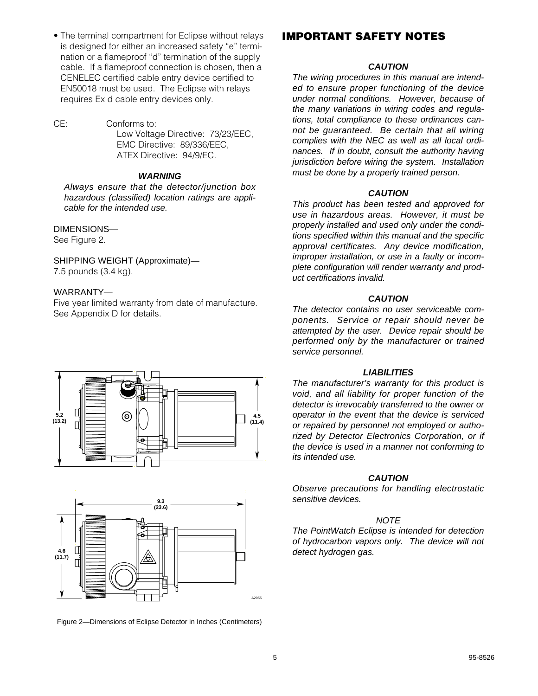• The terminal compartment for Eclipse without relays is designed for either an increased safety "e" termination or a flameproof "d" termination of the supply cable. If a flameproof connection is chosen, then a CENELEC certified cable entry device certified to EN50018 must be used. The Eclipse with relays requires Ex d cable entry devices only.

CE: Conforms to: Low Voltage Directive: 73/23/EEC, EMC Directive: 89/336/EEC, ATEX Directive: 94/9/EC.

#### **WARNING**

Always ensure that the detector/junction box hazardous (classified) location ratings are applicable for the intended use.

#### DIMENSIONS—

See Figure 2.

SHIPPING WEIGHT (Approximate)— 7.5 pounds (3.4 kg).

#### WARRANTY—

Five year limited warranty from date of manufacture. See Appendix D for details.





Figure 2—Dimensions of Eclipse Detector in Inches (Centimeters)

## **IMPORTANT SAFETY NOTES**

#### **CAUTION**

The wiring procedures in this manual are intended to ensure proper functioning of the device under normal conditions. However, because of the many variations in wiring codes and regulations, total compliance to these ordinances cannot be guaranteed. Be certain that all wiring complies with the NEC as well as all local ordinances. If in doubt, consult the authority having jurisdiction before wiring the system. Installation must be done by a properly trained person.

#### **CAUTION**

This product has been tested and approved for use in hazardous areas. However, it must be properly installed and used only under the conditions specified within this manual and the specific approval certificates. Any device modification, improper installation, or use in a faulty or incomplete configuration will render warranty and product certifications invalid.

#### **CAUTION**

The detector contains no user serviceable components. Service or repair should never be attempted by the user. Device repair should be performed only by the manufacturer or trained service personnel.

#### **LIABILITIES**

The manufacturer's warranty for this product is void, and all liability for proper function of the detector is irrevocably transferred to the owner or operator in the event that the device is serviced or repaired by personnel not employed or authorized by Detector Electronics Corporation, or if the device is used in a manner not conforming to its intended use.

#### **CAUTION**

Observe precautions for handling electrostatic sensitive devices.

#### **NOTE**

The PointWatch Eclipse is intended for detection of hydrocarbon vapors only. The device will not detect hydrogen gas.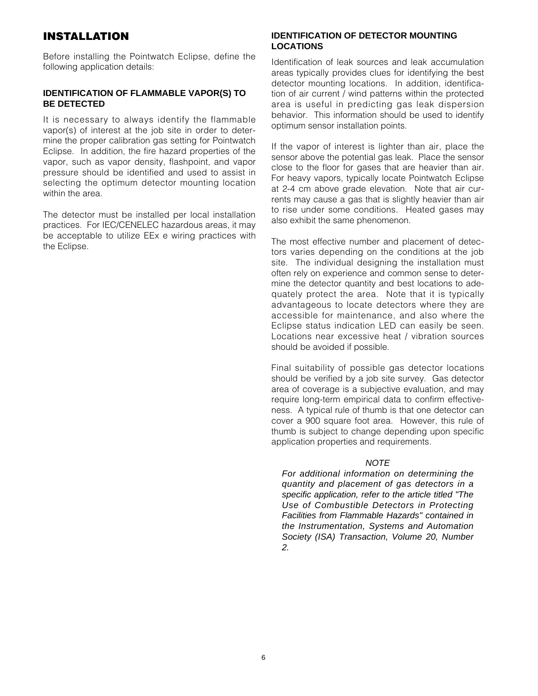# **INSTALLATION**

Before installing the Pointwatch Eclipse, define the following application details:

#### **IDENTIFICATION OF FLAMMABLE VAPOR(S) TO BE DETECTED**

It is necessary to always identify the flammable vapor(s) of interest at the job site in order to determine the proper calibration gas setting for Pointwatch Eclipse. In addition, the fire hazard properties of the vapor, such as vapor density, flashpoint, and vapor pressure should be identified and used to assist in selecting the optimum detector mounting location within the area.

The detector must be installed per local installation practices. For IEC/CENELEC hazardous areas, it may be acceptable to utilize EEx e wiring practices with the Eclipse.

#### **IDENTIFICATION OF DETECTOR MOUNTING LOCATIONS**

Identification of leak sources and leak accumulation areas typically provides clues for identifying the best detector mounting locations. In addition, identification of air current / wind patterns within the protected area is useful in predicting gas leak dispersion behavior. This information should be used to identify optimum sensor installation points.

If the vapor of interest is lighter than air, place the sensor above the potential gas leak. Place the sensor close to the floor for gases that are heavier than air. For heavy vapors, typically locate Pointwatch Eclipse at 2-4 cm above grade elevation. Note that air currents may cause a gas that is slightly heavier than air to rise under some conditions. Heated gases may also exhibit the same phenomenon.

The most effective number and placement of detectors varies depending on the conditions at the job site. The individual designing the installation must often rely on experience and common sense to determine the detector quantity and best locations to adequately protect the area. Note that it is typically advantageous to locate detectors where they are accessible for maintenance, and also where the Eclipse status indication LED can easily be seen. Locations near excessive heat / vibration sources should be avoided if possible.

Final suitability of possible gas detector locations should be verified by a job site survey. Gas detector area of coverage is a subjective evaluation, and may require long-term empirical data to confirm effectiveness. A typical rule of thumb is that one detector can cover a 900 square foot area. However, this rule of thumb is subject to change depending upon specific application properties and requirements.

#### **NOTE**

For additional information on determining the quantity and placement of gas detectors in a specific application, refer to the article titled "The Use of Combustible Detectors in Protecting Facilities from Flammable Hazards" contained in the Instrumentation, Systems and Automation Society (ISA) Transaction, Volume 20, Number 2.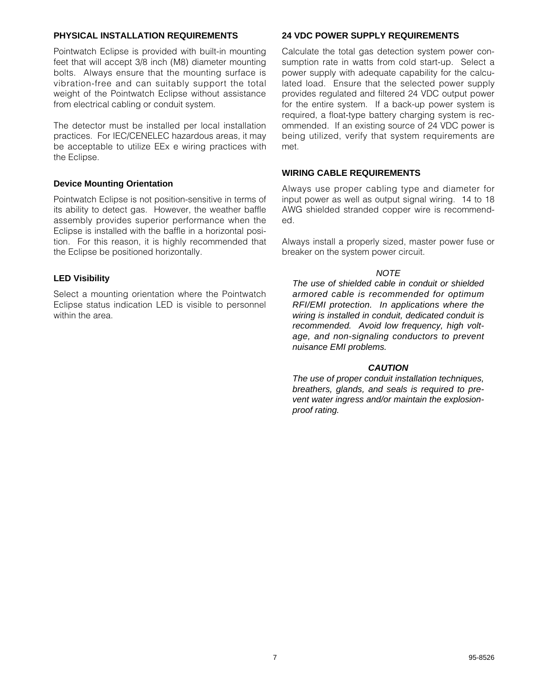## **PHYSICAL INSTALLATION REQUIREMENTS**

Pointwatch Eclipse is provided with built-in mounting feet that will accept 3/8 inch (M8) diameter mounting bolts. Always ensure that the mounting surface is vibration-free and can suitably support the total weight of the Pointwatch Eclipse without assistance from electrical cabling or conduit system.

The detector must be installed per local installation practices. For IEC/CENELEC hazardous areas, it may be acceptable to utilize EEx e wiring practices with the Eclipse.

#### **Device Mounting Orientation**

Pointwatch Eclipse is not position-sensitive in terms of its ability to detect gas. However, the weather baffle assembly provides superior performance when the Eclipse is installed with the baffle in a horizontal position. For this reason, it is highly recommended that the Eclipse be positioned horizontally.

## **LED Visibility**

Select a mounting orientation where the Pointwatch Eclipse status indication LED is visible to personnel within the area.

## **24 VDC POWER SUPPLY REQUIREMENTS**

Calculate the total gas detection system power consumption rate in watts from cold start-up. Select a power supply with adequate capability for the calculated load. Ensure that the selected power supply provides regulated and filtered 24 VDC output power for the entire system. If a back-up power system is required, a float-type battery charging system is recommended. If an existing source of 24 VDC power is being utilized, verify that system requirements are met.

#### **WIRING CABLE REQUIREMENTS**

Always use proper cabling type and diameter for input power as well as output signal wiring. 14 to 18 AWG shielded stranded copper wire is recommended.

Always install a properly sized, master power fuse or breaker on the system power circuit.

#### **NOTE**

The use of shielded cable in conduit or shielded armored cable is recommended for optimum RFI/EMI protection. In applications where the wiring is installed in conduit, dedicated conduit is recommended. Avoid low frequency, high voltage, and non-signaling conductors to prevent nuisance EMI problems.

#### **CAUTION**

The use of proper conduit installation techniques, breathers, glands, and seals is required to prevent water ingress and/or maintain the explosionproof rating.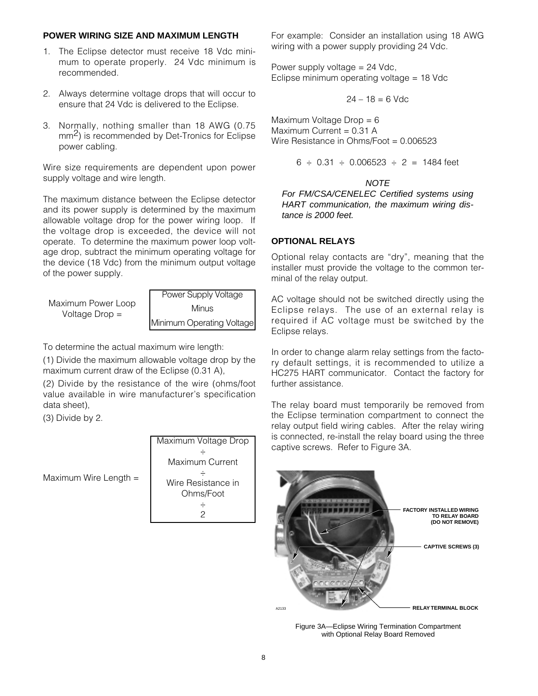#### **POWER WIRING SIZE AND MAXIMUM LENGTH**

- 1. The Eclipse detector must receive 18 Vdc minimum to operate properly. 24 Vdc minimum is recommended.
- 2. Always determine voltage drops that will occur to ensure that 24 Vdc is delivered to the Eclipse.
- 3. Normally, nothing smaller than 18 AWG (0.75 mm<sup>2</sup>) is recommended by Det-Tronics for Eclipse power cabling.

Wire size requirements are dependent upon power supply voltage and wire length.

The maximum distance between the Eclipse detector and its power supply is determined by the maximum allowable voltage drop for the power wiring loop. If the voltage drop is exceeded, the device will not operate. To determine the maximum power loop voltage drop, subtract the minimum operating voltage for the device (18 Vdc) from the minimum output voltage of the power supply.

Maximum Power Loop Voltage Drop = Power Supply Voltage Minus Minimum Operating Voltage

To determine the actual maximum wire length:

(1) Divide the maximum allowable voltage drop by the maximum current draw of the Eclipse (0.31 A),

(2) Divide by the resistance of the wire (ohms/foot value available in wire manufacturer's specification data sheet),

(3) Divide by 2.

Maximum Wire Length =



For example: Consider an installation using 18 AWG wiring with a power supply providing 24 Vdc.

Power supply voltage = 24 Vdc, Eclipse minimum operating voltage = 18 Vdc

$$
24 - 18 = 6
$$
 Vdc

Maximum Voltage Drop = 6 Maximum Current = 0.31 A Wire Resistance in Ohms/Foot = 0.006523

$$
6 \div 0.31 \div 0.006523 \div 2 = 1484
$$
 feet

#### **NOTE**

For FM/CSA/CENELEC Certified systems using HART communication, the maximum wiring distance is 2000 feet.

#### **OPTIONAL RELAYS**

Optional relay contacts are "dry", meaning that the installer must provide the voltage to the common terminal of the relay output.

AC voltage should not be switched directly using the Eclipse relays. The use of an external relay is required if AC voltage must be switched by the Eclipse relays.

In order to change alarm relay settings from the factory default settings, it is recommended to utilize a HC275 HART communicator. Contact the factory for further assistance.

The relay board must temporarily be removed from the Eclipse termination compartment to connect the relay output field wiring cables. After the relay wiring is connected, re-install the relay board using the three captive screws. Refer to Figure 3A.



Figure 3A—Eclipse Wiring Termination Compartment with Optional Relay Board Removed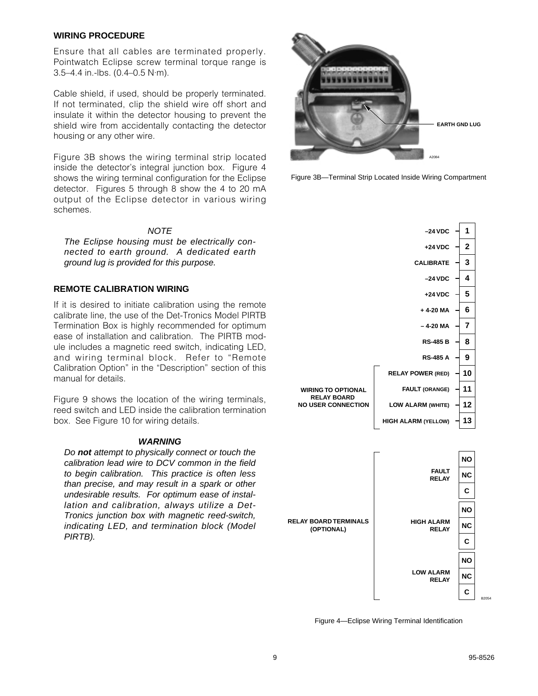#### **WIRING PROCEDURE**

Ensure that all cables are terminated properly. Pointwatch Eclipse screw terminal torque range is 3.5–4.4 in.-lbs. (0.4–0.5 N·m).

Cable shield, if used, should be properly terminated. If not terminated, clip the shield wire off short and insulate it within the detector housing to prevent the shield wire from accidentally contacting the detector housing or any other wire.

Figure 3B shows the wiring terminal strip located inside the detector's integral junction box. Figure 4 shows the wiring terminal configuration for the Eclipse detector. Figures 5 through 8 show the 4 to 20 mA output of the Eclipse detector in various wiring schemes.

#### **NOTE**

The Eclipse housing must be electrically connected to earth ground. A dedicated earth ground lug is provided for this purpose.

## **REMOTE CALIBRATION WIRING**

If it is desired to initiate calibration using the remote calibrate line, the use of the Det-Tronics Model PIRTB Termination Box is highly recommended for optimum ease of installation and calibration. The PIRTB module includes a magnetic reed switch, indicating LED, and wiring terminal block. Refer to "Remote Calibration Option" in the "Description" section of this manual for details.

Figure 9 shows the location of the wiring terminals, reed switch and LED inside the calibration termination box. See Figure 10 for wiring details.

#### **WARNING**

Do **not** attempt to physically connect or touch the calibration lead wire to DCV common in the field to begin calibration. This practice is often less than precise, and may result in a spark or other undesirable results. For optimum ease of installation and calibration, always utilize a Det-Tronics junction box with magnetic reed-switch, indicating LED, and termination block (Model PIRTB).



Figure 3B—Terminal Strip Located Inside Wiring Compartment



Figure 4—Eclipse Wiring Terminal Identification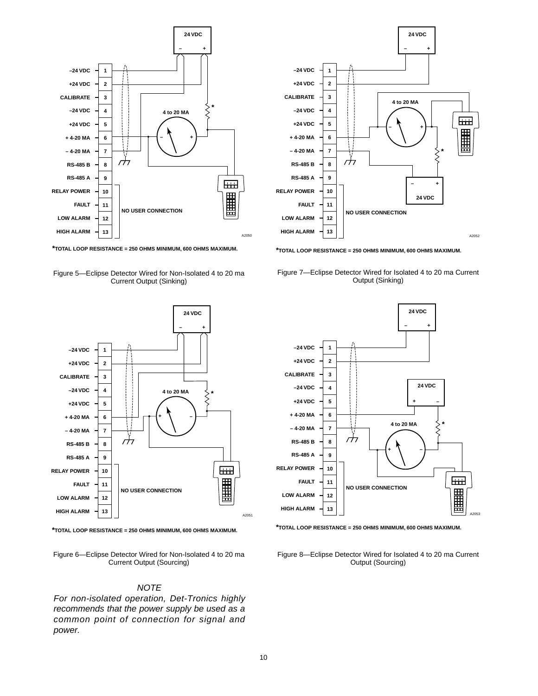

**\*TOTAL LOOP RESISTANCE = 250 OHMS MINIMUM, 600 OHMS MAXIMUM.**





**\*TOTAL LOOP RESISTANCE = 250 OHMS MINIMUM, 600 OHMS MAXIMUM.**

Figure 6—Eclipse Detector Wired for Non-Isolated 4 to 20 ma Current Output (Sourcing)

#### **NOTE**

For non-isolated operation, Det-Tronics highly recommends that the power supply be used as a common point of connection for signal and power.



**\*TOTAL LOOP RESISTANCE = 250 OHMS MINIMUM, 600 OHMS MAXIMUM.**

Figure 7—Eclipse Detector Wired for Isolated 4 to 20 ma Current Output (Sinking)



**\*TOTAL LOOP RESISTANCE = 250 OHMS MINIMUM, 600 OHMS MAXIMUM.**

Figure 8—Eclipse Detector Wired for Isolated 4 to 20 ma Current Output (Sourcing)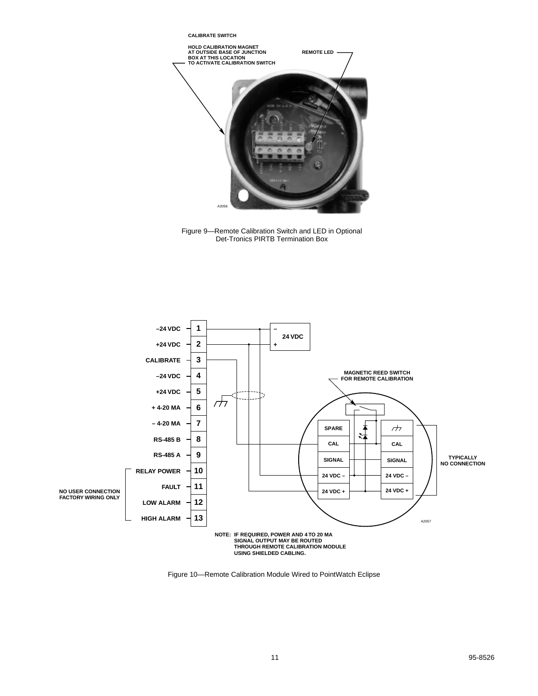

Figure 9—Remote Calibration Switch and LED in Optional Det-Tronics PIRTB Termination Box



Figure 10—Remote Calibration Module Wired to PointWatch Eclipse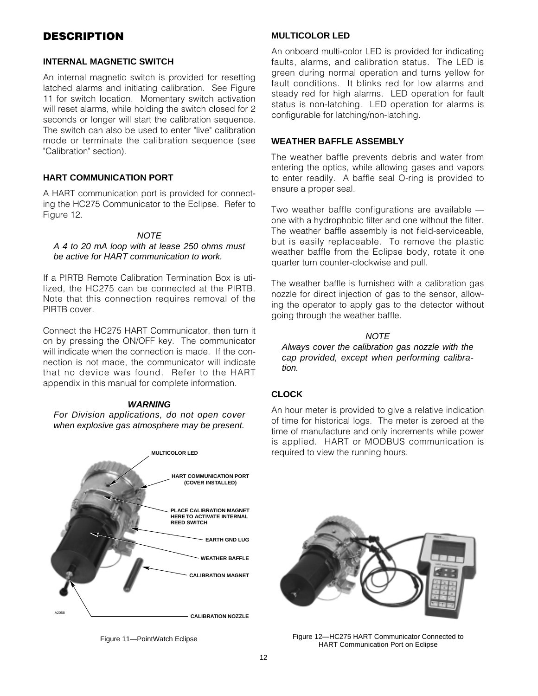# **DESCRIPTION**

#### **INTERNAL MAGNETIC SWITCH**

An internal magnetic switch is provided for resetting latched alarms and initiating calibration. See Figure 11 for switch location. Momentary switch activation will reset alarms, while holding the switch closed for 2 seconds or longer will start the calibration sequence. The switch can also be used to enter "live" calibration mode or terminate the calibration sequence (see "Calibration" section).

## **HART COMMUNICATION PORT**

A HART communication port is provided for connecting the HC275 Communicator to the Eclipse. Refer to Figure 12.

## **NOTE**

#### A 4 to 20 mA loop with at lease 250 ohms must be active for HART communication to work.

If a PIRTB Remote Calibration Termination Box is utilized, the HC275 can be connected at the PIRTB. Note that this connection requires removal of the PIRTB cover.

Connect the HC275 HART Communicator, then turn it on by pressing the ON/OFF key. The communicator will indicate when the connection is made. If the connection is not made, the communicator will indicate that no device was found. Refer to the HART appendix in this manual for complete information.

#### **WARNING**

For Division applications, do not open cover when explosive gas atmosphere may be present.





## **MULTICOLOR LED**

An onboard multi-color LED is provided for indicating faults, alarms, and calibration status. The LED is green during normal operation and turns yellow for fault conditions. It blinks red for low alarms and steady red for high alarms. LED operation for fault status is non-latching. LED operation for alarms is configurable for latching/non-latching.

#### **WEATHER BAFFLE ASSEMBLY**

The weather baffle prevents debris and water from entering the optics, while allowing gases and vapors to enter readily. A baffle seal O-ring is provided to ensure a proper seal.

Two weather baffle configurations are available one with a hydrophobic filter and one without the filter. The weather baffle assembly is not field-serviceable, but is easily replaceable. To remove the plastic weather baffle from the Eclipse body, rotate it one quarter turn counter-clockwise and pull.

The weather baffle is furnished with a calibration gas nozzle for direct injection of gas to the sensor, allowing the operator to apply gas to the detector without going through the weather baffle.

## **NOTE**

Always cover the calibration gas nozzle with the cap provided, except when performing calibration.

## **CLOCK**

An hour meter is provided to give a relative indication of time for historical logs. The meter is zeroed at the time of manufacture and only increments while power is applied. HART or MODBUS communication is required to view the running hours.



Figure 11—PointWatch Eclipse Figure 12—HC275 HART Communicator Connected to HART Communication Port on Eclipse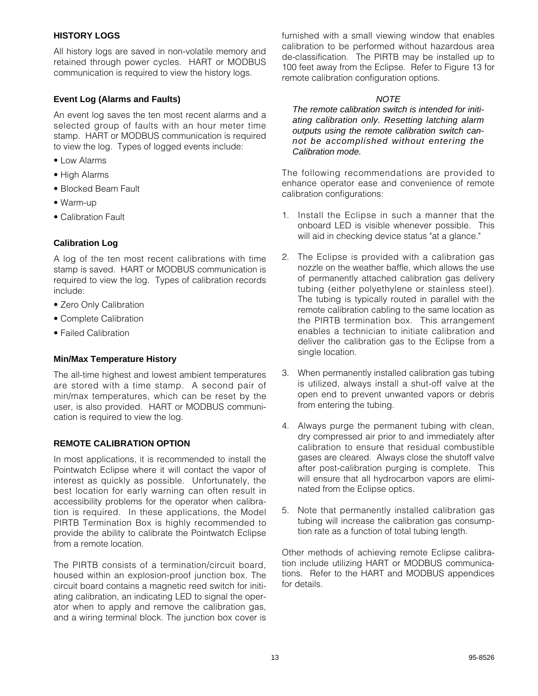## **HISTORY LOGS**

All history logs are saved in non-volatile memory and retained through power cycles. HART or MODBUS communication is required to view the history logs.

## **Event Log (Alarms and Faults)**

An event log saves the ten most recent alarms and a selected group of faults with an hour meter time stamp. HART or MODBUS communication is required to view the log. Types of logged events include:

- Low Alarms
- High Alarms
- Blocked Beam Fault
- Warm-up
- Calibration Fault

## **Calibration Log**

A log of the ten most recent calibrations with time stamp is saved. HART or MODBUS communication is required to view the log. Types of calibration records include:

- Zero Only Calibration
- Complete Calibration
- Failed Calibration

## **Min/Max Temperature History**

The all-time highest and lowest ambient temperatures are stored with a time stamp. A second pair of min/max temperatures, which can be reset by the user, is also provided. HART or MODBUS communication is required to view the log.

## **REMOTE CALIBRATION OPTION**

In most applications, it is recommended to install the Pointwatch Eclipse where it will contact the vapor of interest as quickly as possible. Unfortunately, the best location for early warning can often result in accessibility problems for the operator when calibration is required. In these applications, the Model PIRTB Termination Box is highly recommended to provide the ability to calibrate the Pointwatch Eclipse from a remote location.

The PIRTB consists of a termination/circuit board, housed within an explosion-proof junction box. The circuit board contains a magnetic reed switch for initiating calibration, an indicating LED to signal the operator when to apply and remove the calibration gas, and a wiring terminal block. The junction box cover is furnished with a small viewing window that enables calibration to be performed without hazardous area de-classification. The PIRTB may be installed up to 100 feet away from the Eclipse. Refer to Figure 13 for remote calibration configuration options.

## **NOTE**

The remote calibration switch is intended for initiating calibration only. Resetting latching alarm outputs using the remote calibration switch cannot be accomplished without entering the Calibration mode.

The following recommendations are provided to enhance operator ease and convenience of remote calibration configurations:

- 1. Install the Eclipse in such a manner that the onboard LED is visible whenever possible. This will aid in checking device status "at a glance."
- 2. The Eclipse is provided with a calibration gas nozzle on the weather baffle, which allows the use of permanently attached calibration gas delivery tubing (either polyethylene or stainless steel). The tubing is typically routed in parallel with the remote calibration cabling to the same location as the PIRTB termination box. This arrangement enables a technician to initiate calibration and deliver the calibration gas to the Eclipse from a single location.
- 3. When permanently installed calibration gas tubing is utilized, always install a shut-off valve at the open end to prevent unwanted vapors or debris from entering the tubing.
- 4. Always purge the permanent tubing with clean, dry compressed air prior to and immediately after calibration to ensure that residual combustible gases are cleared. Always close the shutoff valve after post-calibration purging is complete. This will ensure that all hydrocarbon vapors are eliminated from the Eclipse optics.
- 5. Note that permanently installed calibration gas tubing will increase the calibration gas consumption rate as a function of total tubing length.

Other methods of achieving remote Eclipse calibration include utilizing HART or MODBUS communications. Refer to the HART and MODBUS appendices for details.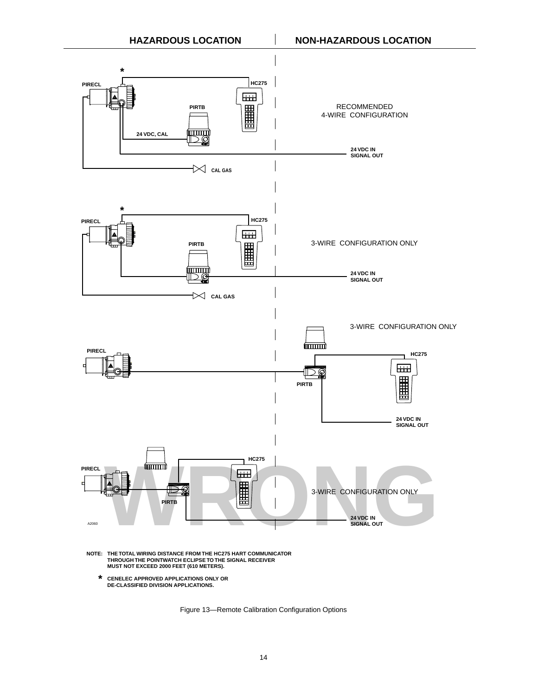

 **\* CENELEC APPROVED APPLICATIONS ONLY OR DE-CLASSIFIED DIVISION APPLICATIONS.**

Figure 13—Remote Calibration Configuration Options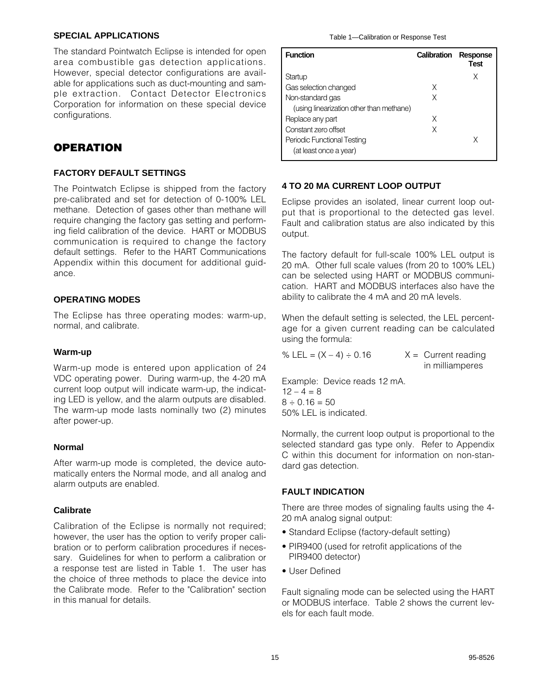#### **SPECIAL APPLICATIONS**

The standard Pointwatch Eclipse is intended for open area combustible gas detection applications. However, special detector configurations are available for applications such as duct-mounting and sample extraction. Contact Detector Electronics Corporation for information on these special device configurations.

# **OPERATION**

## **FACTORY DEFAULT SETTINGS**

The Pointwatch Eclipse is shipped from the factory pre-calibrated and set for detection of 0-100% LEL methane. Detection of gases other than methane will require changing the factory gas setting and performing field calibration of the device. HART or MODBUS communication is required to change the factory default settings. Refer to the HART Communications Appendix within this document for additional guidance.

## **OPERATING MODES**

The Eclipse has three operating modes: warm-up, normal, and calibrate.

## **Warm-up**

Warm-up mode is entered upon application of 24 VDC operating power. During warm-up, the 4-20 mA current loop output will indicate warm-up, the indicating LED is yellow, and the alarm outputs are disabled. The warm-up mode lasts nominally two (2) minutes after power-up.

## **Normal**

After warm-up mode is completed, the device automatically enters the Normal mode, and all analog and alarm outputs are enabled.

## **Calibrate**

Calibration of the Eclipse is normally not required; however, the user has the option to verify proper calibration or to perform calibration procedures if necessary. Guidelines for when to perform a calibration or a response test are listed in Table 1. The user has the choice of three methods to place the device into the Calibrate mode. Refer to the "Calibration" section in this manual for details.

| <b>Function</b>                          | Calibration | Response<br>Test |
|------------------------------------------|-------------|------------------|
| Startup                                  |             | X                |
| Gas selection changed                    | X           |                  |
| Non-standard gas                         | X           |                  |
| (using linearization other than methane) |             |                  |
| Replace any part                         | X           |                  |
| Constant zero offset                     | Χ           |                  |
| Periodic Functional Testing              |             |                  |
| (at least once a year)                   |             |                  |

## **4 TO 20 MA CURRENT LOOP OUTPUT**

Eclipse provides an isolated, linear current loop output that is proportional to the detected gas level. Fault and calibration status are also indicated by this output.

The factory default for full-scale 100% LEL output is 20 mA. Other full scale values (from 20 to 100% LEL) can be selected using HART or MODBUS communication. HART and MODBUS interfaces also have the ability to calibrate the 4 mA and 20 mA levels.

When the default setting is selected, the LEL percentage for a given current reading can be calculated using the formula:

% LEL =  $(X - 4) \div 0.16$   $X =$  Current reading in milliamperes

Example: Device reads 12 mA.  $12 - 4 = 8$  $8 \div 0.16 = 50$ 50% LEL is indicated.

Normally, the current loop output is proportional to the selected standard gas type only. Refer to Appendix C within this document for information on non-standard gas detection.

## **FAULT INDICATION**

There are three modes of signaling faults using the 4- 20 mA analog signal output:

- Standard Eclipse (factory-default setting)
- PIR9400 (used for retrofit applications of the PIR9400 detector)
- User Defined

Fault signaling mode can be selected using the HART or MODBUS interface. Table 2 shows the current levels for each fault mode.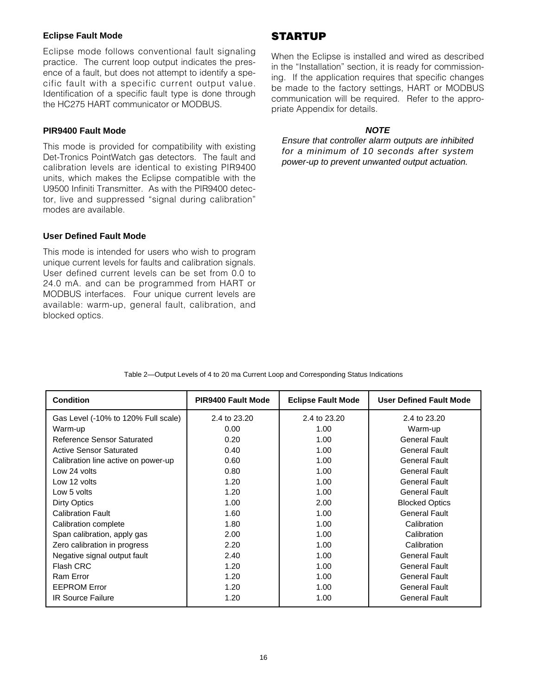#### **Eclipse Fault Mode**

Eclipse mode follows conventional fault signaling practice. The current loop output indicates the presence of a fault, but does not attempt to identify a specific fault with a specific current output value. Identification of a specific fault type is done through the HC275 HART communicator or MODBUS.

## **PIR9400 Fault Mode**

This mode is provided for compatibility with existing Det-Tronics PointWatch gas detectors. The fault and calibration levels are identical to existing PIR9400 units, which makes the Eclipse compatible with the U9500 Infiniti Transmitter. As with the PIR9400 detector, live and suppressed "signal during calibration" modes are available.

#### **User Defined Fault Mode**

This mode is intended for users who wish to program unique current levels for faults and calibration signals. User defined current levels can be set from 0.0 to 24.0 mA. and can be programmed from HART or MODBUS interfaces. Four unique current levels are available: warm-up, general fault, calibration, and blocked optics.

## **STARTUP**

When the Eclipse is installed and wired as described in the "Installation" section, it is ready for commissioning. If the application requires that specific changes be made to the factory settings, HART or MODBUS communication will be required. Refer to the appropriate Appendix for details.

#### **NOTE**

Ensure that controller alarm outputs are inhibited for a minimum of 10 seconds after system power-up to prevent unwanted output actuation.

| <b>Condition</b>                    | <b>PIR9400 Fault Mode</b> | <b>Eclipse Fault Mode</b> | <b>User Defined Fault Mode</b> |
|-------------------------------------|---------------------------|---------------------------|--------------------------------|
| Gas Level (-10% to 120% Full scale) | 2.4 to 23.20              | 2.4 to 23.20              | 2.4 to 23.20                   |
| Warm-up                             | 0.00                      | 1.00                      | Warm-up                        |
| Reference Sensor Saturated          | 0.20                      | 1.00                      | <b>General Fault</b>           |
| <b>Active Sensor Saturated</b>      | 0.40                      | 1.00                      | <b>General Fault</b>           |
| Calibration line active on power-up | 0.60                      | 1.00                      | <b>General Fault</b>           |
| Low 24 volts                        | 0.80                      | 1.00                      | <b>General Fault</b>           |
| Low 12 volts                        | 1.20                      | 1.00                      | <b>General Fault</b>           |
| Low 5 volts                         | 1.20                      | 1.00                      | <b>General Fault</b>           |
| Dirty Optics                        | 1.00                      | 2.00                      | <b>Blocked Optics</b>          |
| <b>Calibration Fault</b>            | 1.60                      | 1.00                      | <b>General Fault</b>           |
| Calibration complete                | 1.80                      | 1.00                      | Calibration                    |
| Span calibration, apply gas         | 2.00                      | 1.00                      | Calibration                    |
| Zero calibration in progress        | 2.20                      | 1.00                      | Calibration                    |
| Negative signal output fault        | 2.40                      | 1.00                      | <b>General Fault</b>           |
| Flash CRC                           | 1.20                      | 1.00                      | <b>General Fault</b>           |
| Ram Error                           | 1.20                      | 1.00                      | <b>General Fault</b>           |
| <b>EEPROM Error</b>                 | 1.20                      | 1.00                      | <b>General Fault</b>           |
| <b>IR Source Failure</b>            | 1.20                      | 1.00                      | <b>General Fault</b>           |

Table 2—Output Levels of 4 to 20 ma Current Loop and Corresponding Status Indications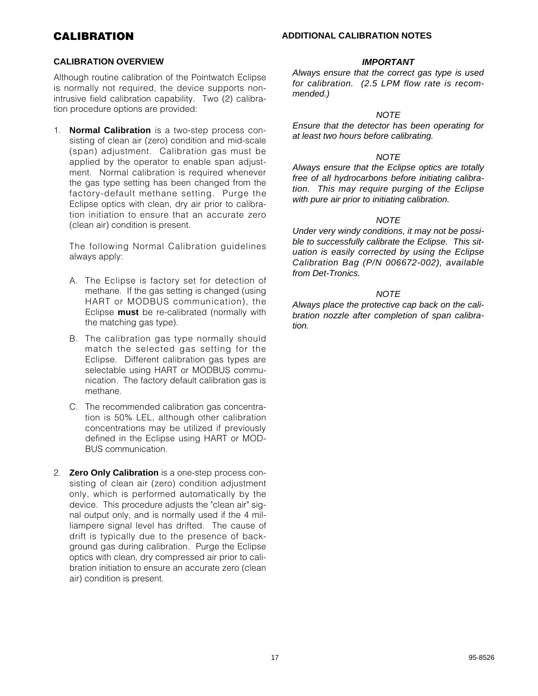# **CALIBRATION**

#### **ADDITIONAL CALIBRATION NOTES**

#### **CALIBRATION OVERVIEW**

Although routine calibration of the Pointwatch Eclipse is normally not required, the device supports nonintrusive field calibration capability. Two (2) calibration procedure options are provided:

1. **Normal Calibration** is a two-step process consisting of clean air (zero) condition and mid-scale (span) adjustment. Calibration gas must be applied by the operator to enable span adjustment. Normal calibration is required whenever the gas type setting has been changed from the factory-default methane setting. Purge the Eclipse optics with clean, dry air prior to calibration initiation to ensure that an accurate zero (clean air) condition is present.

The following Normal Calibration guidelines always apply:

- A. The Eclipse is factory set for detection of methane. If the gas setting is changed (using HART or MODBUS communication), the Eclipse **must** be re-calibrated (normally with the matching gas type).
- B. The calibration gas type normally should match the selected gas setting for the Eclipse. Different calibration gas types are selectable using HART or MODBUS communication. The factory default calibration gas is methane.
- C. The recommended calibration gas concentration is 50% LEL, although other calibration concentrations may be utilized if previously defined in the Eclipse using HART or MOD-BUS communication.
- 2. **Zero Only Calibration** is a one-step process consisting of clean air (zero) condition adjustment only, which is performed automatically by the device. This procedure adjusts the "clean air" signal output only, and is normally used if the 4 milliampere signal level has drifted. The cause of drift is typically due to the presence of background gas during calibration. Purge the Eclipse optics with clean, dry compressed air prior to calibration initiation to ensure an accurate zero (clean air) condition is present.

#### **IMPORTANT**

Always ensure that the correct gas type is used for calibration. (2.5 LPM flow rate is recommended.)

#### **NOTE**

Ensure that the detector has been operating for at least two hours before calibrating.

#### **NOTE**

Always ensure that the Eclipse optics are totally free of all hydrocarbons before initiating calibration. This may require purging of the Eclipse with pure air prior to initiating calibration.

#### **NOTE**

Under very windy conditions, it may not be possible to successfully calibrate the Eclipse. This situation is easily corrected by using the Eclipse Calibration Bag (P/N 006672-002), available from Det-Tronics.

#### **NOTE**

Always place the protective cap back on the calibration nozzle after completion of span calibration.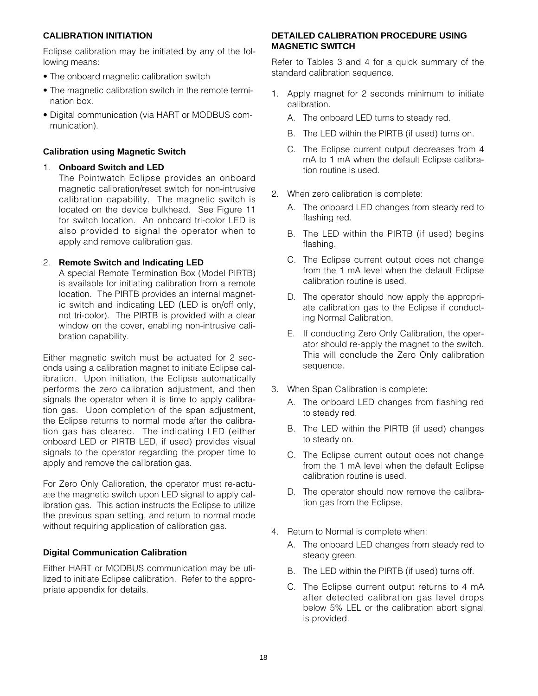## **CALIBRATION INITIATION**

Eclipse calibration may be initiated by any of the following means:

- The onboard magnetic calibration switch
- The magnetic calibration switch in the remote termination box.
- Digital communication (via HART or MODBUS communication).

## **Calibration using Magnetic Switch**

#### 1. **Onboard Switch and LED**

The Pointwatch Eclipse provides an onboard magnetic calibration/reset switch for non-intrusive calibration capability. The magnetic switch is located on the device bulkhead. See Figure 11 for switch location. An onboard tri-color LED is also provided to signal the operator when to apply and remove calibration gas.

## 2. **Remote Switch and Indicating LED**

A special Remote Termination Box (Model PIRTB) is available for initiating calibration from a remote location. The PIRTB provides an internal magnetic switch and indicating LED (LED is on/off only, not tri-color). The PIRTB is provided with a clear window on the cover, enabling non-intrusive calibration capability.

Either magnetic switch must be actuated for 2 seconds using a calibration magnet to initiate Eclipse calibration. Upon initiation, the Eclipse automatically performs the zero calibration adjustment, and then signals the operator when it is time to apply calibration gas. Upon completion of the span adjustment, the Eclipse returns to normal mode after the calibration gas has cleared. The indicating LED (either onboard LED or PIRTB LED, if used) provides visual signals to the operator regarding the proper time to apply and remove the calibration gas.

For Zero Only Calibration, the operator must re-actuate the magnetic switch upon LED signal to apply calibration gas. This action instructs the Eclipse to utilize the previous span setting, and return to normal mode without requiring application of calibration gas.

## **Digital Communication Calibration**

Either HART or MODBUS communication may be utilized to initiate Eclipse calibration. Refer to the appropriate appendix for details.

## **DETAILED CALIBRATION PROCEDURE USING MAGNETIC SWITCH**

Refer to Tables 3 and 4 for a quick summary of the standard calibration sequence.

- 1. Apply magnet for 2 seconds minimum to initiate calibration.
	- A. The onboard LED turns to steady red.
	- B. The LED within the PIRTB (if used) turns on.
	- C. The Eclipse current output decreases from 4 mA to 1 mA when the default Eclipse calibration routine is used.
- 2. When zero calibration is complete:
	- A. The onboard LED changes from steady red to flashing red.
	- B. The LED within the PIRTB (if used) begins flashing.
	- C. The Eclipse current output does not change from the 1 mA level when the default Eclipse calibration routine is used.
	- D. The operator should now apply the appropriate calibration gas to the Eclipse if conducting Normal Calibration.
	- E. If conducting Zero Only Calibration, the operator should re-apply the magnet to the switch. This will conclude the Zero Only calibration sequence.
- 3. When Span Calibration is complete:
	- A. The onboard LED changes from flashing red to steady red.
	- B. The LED within the PIRTB (if used) changes to steady on.
	- C. The Eclipse current output does not change from the 1 mA level when the default Eclipse calibration routine is used.
	- D. The operator should now remove the calibration gas from the Eclipse.
- 4. Return to Normal is complete when:
	- A. The onboard LED changes from steady red to steady green.
	- B. The LED within the PIRTB (if used) turns off.
	- C. The Eclipse current output returns to 4 mA after detected calibration gas level drops below 5% LEL or the calibration abort signal is provided.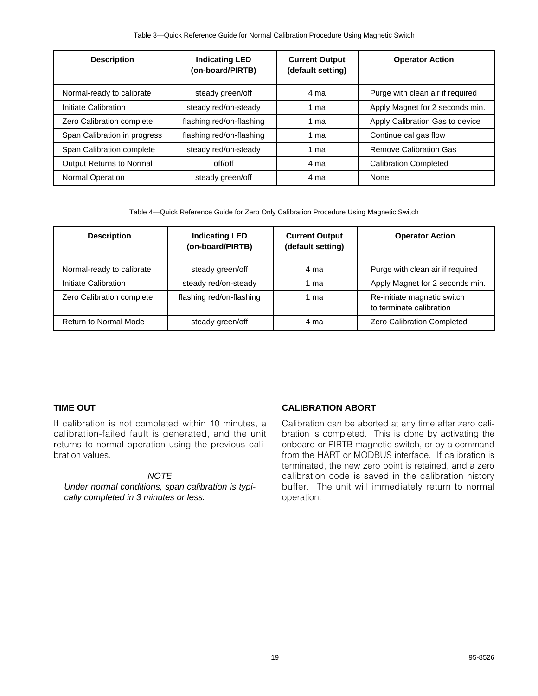| <b>Description</b>           | <b>Indicating LED</b><br>(on-board/PIRTB) | <b>Current Output</b><br>(default setting) | <b>Operator Action</b>           |
|------------------------------|-------------------------------------------|--------------------------------------------|----------------------------------|
| Normal-ready to calibrate    | steady green/off                          | 4 ma                                       | Purge with clean air if required |
| Initiate Calibration         | steady red/on-steady                      | 1 ma                                       | Apply Magnet for 2 seconds min.  |
| Zero Calibration complete    | flashing red/on-flashing                  | 1 ma                                       | Apply Calibration Gas to device  |
| Span Calibration in progress | flashing red/on-flashing                  | 1 ma                                       | Continue cal gas flow            |
| Span Calibration complete    | steady red/on-steady                      | 1 ma                                       | <b>Remove Calibration Gas</b>    |
| Output Returns to Normal     | off/off                                   | 4 ma                                       | <b>Calibration Completed</b>     |
| Normal Operation             | steady green/off                          | 4 ma                                       | None                             |

Table 4—Quick Reference Guide for Zero Only Calibration Procedure Using Magnetic Switch

| <b>Description</b>           | <b>Indicating LED</b><br>(on-board/PIRTB) | <b>Current Output</b><br>(default setting) | <b>Operator Action</b>                                  |
|------------------------------|-------------------------------------------|--------------------------------------------|---------------------------------------------------------|
| Normal-ready to calibrate    | steady green/off                          | 4 ma                                       | Purge with clean air if required                        |
| Initiate Calibration         | steady red/on-steady                      | 1 ma                                       | Apply Magnet for 2 seconds min.                         |
| Zero Calibration complete    | flashing red/on-flashing                  | 1 ma                                       | Re-initiate magnetic switch<br>to terminate calibration |
| <b>Return to Normal Mode</b> | steady green/off                          | 4 ma                                       | Zero Calibration Completed                              |

## **TIME OUT**

If calibration is not completed within 10 minutes, a calibration-failed fault is generated, and the unit returns to normal operation using the previous calibration values.

## **NOTE**

Under normal conditions, span calibration is typically completed in 3 minutes or less.

## **CALIBRATION ABORT**

Calibration can be aborted at any time after zero calibration is completed. This is done by activating the onboard or PIRTB magnetic switch, or by a command from the HART or MODBUS interface. If calibration is terminated, the new zero point is retained, and a zero calibration code is saved in the calibration history buffer. The unit will immediately return to normal operation.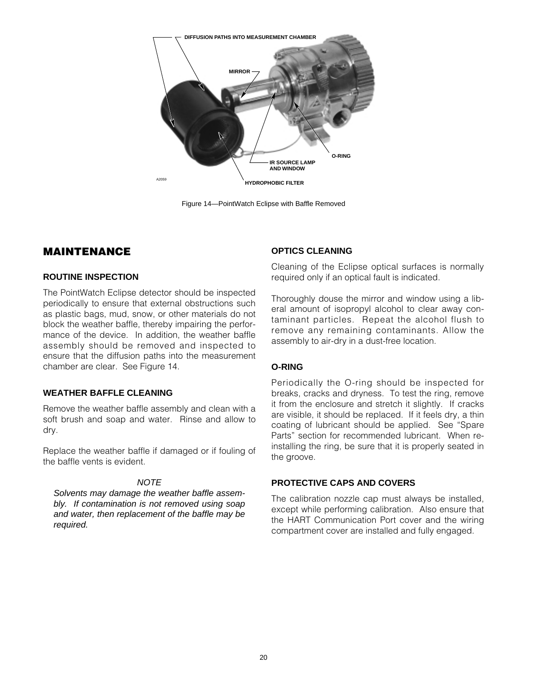

Figure 14—PointWatch Eclipse with Baffle Removed

## **MAINTENANCE**

#### **ROUTINE INSPECTION**

The PointWatch Eclipse detector should be inspected periodically to ensure that external obstructions such as plastic bags, mud, snow, or other materials do not block the weather baffle, thereby impairing the performance of the device. In addition, the weather baffle assembly should be removed and inspected to ensure that the diffusion paths into the measurement chamber are clear. See Figure 14.

#### **WEATHER BAFFLE CLEANING**

Remove the weather baffle assembly and clean with a soft brush and soap and water. Rinse and allow to dry.

Replace the weather baffle if damaged or if fouling of the baffle vents is evident.

## **NOTE**

Solvents may damage the weather baffle assembly. If contamination is not removed using soap and water, then replacement of the baffle may be required.

## **OPTICS CLEANING**

Cleaning of the Eclipse optical surfaces is normally required only if an optical fault is indicated.

Thoroughly douse the mirror and window using a liberal amount of isopropyl alcohol to clear away contaminant particles. Repeat the alcohol flush to remove any remaining contaminants. Allow the assembly to air-dry in a dust-free location.

## **O-RING**

Periodically the O-ring should be inspected for breaks, cracks and dryness. To test the ring, remove it from the enclosure and stretch it slightly. If cracks are visible, it should be replaced. If it feels dry, a thin coating of lubricant should be applied. See "Spare Parts" section for recommended lubricant. When reinstalling the ring, be sure that it is properly seated in the groove.

## **PROTECTIVE CAPS AND COVERS**

The calibration nozzle cap must always be installed, except while performing calibration. Also ensure that the HART Communication Port cover and the wiring compartment cover are installed and fully engaged.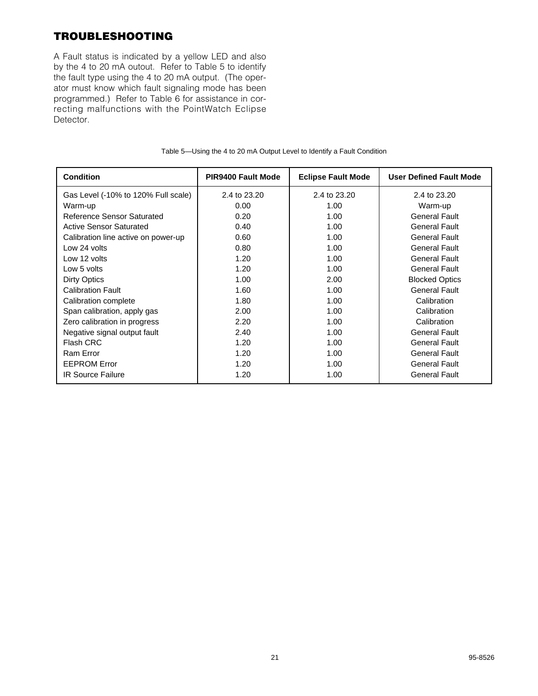# **TROUBLESHOOTING**

A Fault status is indicated by a yellow LED and also by the 4 to 20 mA outout. Refer to Table 5 to identify the fault type using the 4 to 20 mA output. (The operator must know which fault signaling mode has been programmed.) Refer to Table 6 for assistance in correcting malfunctions with the PointWatch Eclipse Detector.

| <b>Condition</b>                    | <b>PIR9400 Fault Mode</b> | <b>Eclipse Fault Mode</b> | <b>User Defined Fault Mode</b> |
|-------------------------------------|---------------------------|---------------------------|--------------------------------|
| Gas Level (-10% to 120% Full scale) | 2.4 to 23.20              | 2.4 to 23.20              | 2.4 to 23.20                   |
| Warm-up                             | 0.00                      | 1.00                      | Warm-up                        |
| Reference Sensor Saturated          | 0.20                      | 1.00                      | <b>General Fault</b>           |
| <b>Active Sensor Saturated</b>      | 0.40                      | 1.00                      | <b>General Fault</b>           |
| Calibration line active on power-up | 0.60                      | 1.00                      | <b>General Fault</b>           |
| Low 24 volts                        | 0.80                      | 1.00                      | <b>General Fault</b>           |
| Low 12 volts                        | 1.20                      | 1.00                      | <b>General Fault</b>           |
| Low 5 volts                         | 1.20                      | 1.00                      | <b>General Fault</b>           |
| <b>Dirty Optics</b>                 | 1.00                      | 2.00                      | <b>Blocked Optics</b>          |
| <b>Calibration Fault</b>            | 1.60                      | 1.00                      | <b>General Fault</b>           |
| Calibration complete                | 1.80                      | 1.00                      | Calibration                    |
| Span calibration, apply gas         | 2.00                      | 1.00                      | Calibration                    |
| Zero calibration in progress        | 2.20                      | 1.00                      | Calibration                    |
| Negative signal output fault        | 2.40                      | 1.00                      | <b>General Fault</b>           |
| <b>Flash CRC</b>                    | 1.20                      | 1.00                      | <b>General Fault</b>           |
| Ram Error                           | 1.20                      | 1.00                      | <b>General Fault</b>           |
| <b>EEPROM Error</b>                 | 1.20                      | 1.00                      | <b>General Fault</b>           |
| <b>IR Source Failure</b>            | 1.20                      | 1.00                      | <b>General Fault</b>           |

#### Table 5—Using the 4 to 20 mA Output Level to Identify a Fault Condition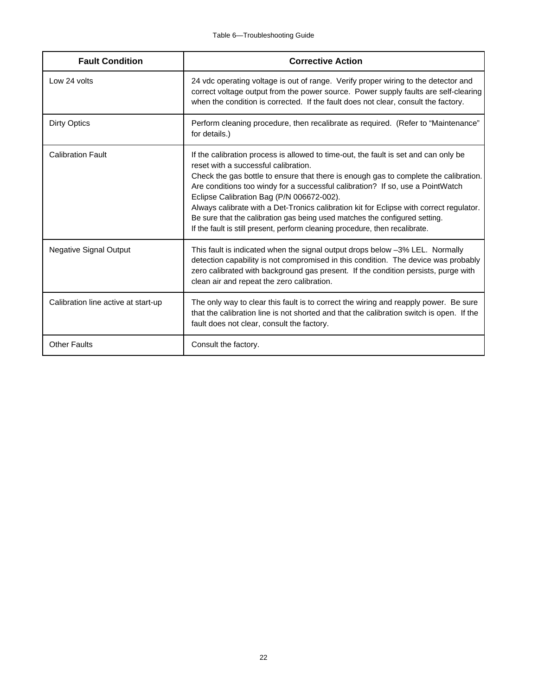| <b>Fault Condition</b>              | <b>Corrective Action</b>                                                                                                                                                                                                                                                                                                                                                                                                                                                                                                                                                                                     |
|-------------------------------------|--------------------------------------------------------------------------------------------------------------------------------------------------------------------------------------------------------------------------------------------------------------------------------------------------------------------------------------------------------------------------------------------------------------------------------------------------------------------------------------------------------------------------------------------------------------------------------------------------------------|
| Low 24 volts                        | 24 vdc operating voltage is out of range. Verify proper wiring to the detector and<br>correct voltage output from the power source. Power supply faults are self-clearing<br>when the condition is corrected. If the fault does not clear, consult the factory.                                                                                                                                                                                                                                                                                                                                              |
| <b>Dirty Optics</b>                 | Perform cleaning procedure, then recalibrate as required. (Refer to "Maintenance"<br>for details.)                                                                                                                                                                                                                                                                                                                                                                                                                                                                                                           |
| <b>Calibration Fault</b>            | If the calibration process is allowed to time-out, the fault is set and can only be<br>reset with a successful calibration.<br>Check the gas bottle to ensure that there is enough gas to complete the calibration.<br>Are conditions too windy for a successful calibration? If so, use a PointWatch<br>Eclipse Calibration Bag (P/N 006672-002).<br>Always calibrate with a Det-Tronics calibration kit for Eclipse with correct regulator.<br>Be sure that the calibration gas being used matches the configured setting.<br>If the fault is still present, perform cleaning procedure, then recalibrate. |
| <b>Negative Signal Output</b>       | This fault is indicated when the signal output drops below -3% LEL. Normally<br>detection capability is not compromised in this condition. The device was probably<br>zero calibrated with background gas present. If the condition persists, purge with<br>clean air and repeat the zero calibration.                                                                                                                                                                                                                                                                                                       |
| Calibration line active at start-up | The only way to clear this fault is to correct the wiring and reapply power. Be sure<br>that the calibration line is not shorted and that the calibration switch is open. If the<br>fault does not clear, consult the factory.                                                                                                                                                                                                                                                                                                                                                                               |
| <b>Other Faults</b>                 | Consult the factory.                                                                                                                                                                                                                                                                                                                                                                                                                                                                                                                                                                                         |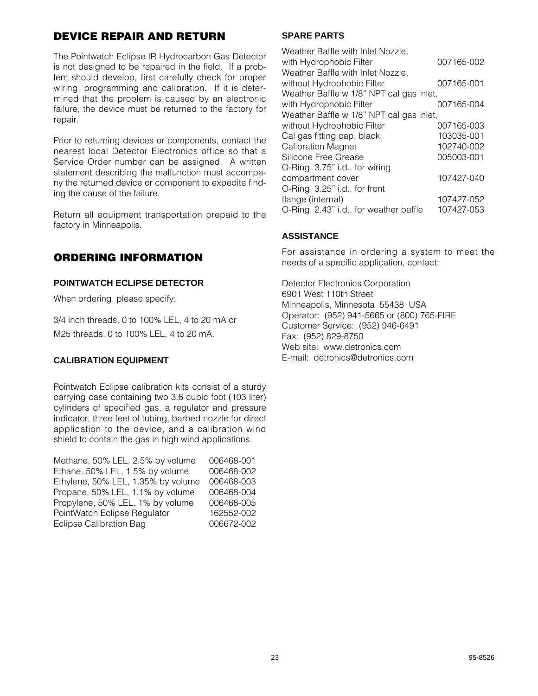# **DEVICE REPAIR AND RETURN**

The Pointwatch Eclipse IR Hydrocarbon Gas Detector is not designed to be repaired in the field. If a problem should develop, first carefully check for proper wiring, programming and calibration. If it is determined that the problem is caused by an electronic failure, the device must be returned to the factory for repair.

Prior to returning devices or components, contact the nearest local Detector Electronics office so that a Service Order number can be assigned. A written statement describing the malfunction must accompany the returned device or component to expedite finding the cause of the failure.

Return all equipment transportation prepaid to the factory in Minneapolis.

# **ORDERING INFORMATION**

## **POINTWATCH ECLIPSE DETECTOR**

When ordering, please specify:

3/4 inch threads, 0 to 100% LEL, 4 to 20 mA or M25 threads, 0 to 100% LEL, 4 to 20 mA.

## **CALIBRATION EQUIPMENT**

Pointwatch Eclipse calibration kits consist of a sturdy carrying case containing two 3.6 cubic foot (103 liter) cylinders of specified gas, a regulator and pressure indicator, three feet of tubing, barbed nozzle for direct application to the device, and a calibration wind shield to contain the gas in high wind applications.

| Methane, 50% LEL, 2.5% by volume   | 006468-001 |
|------------------------------------|------------|
| Ethane, 50% LEL, 1.5% by volume    | 006468-002 |
| Ethylene, 50% LEL, 1.35% by volume | 006468-003 |
| Propane, 50% LEL, 1.1% by volume   | 006468-004 |
| Propylene, 50% LEL, 1% by volume   | 006468-005 |
| PointWatch Eclipse Regulator       | 162552-002 |
| <b>Eclipse Calibration Bag</b>     | 006672-002 |
|                                    |            |

## **SPARE PARTS**

| Weather Baffle with Inlet Nozzle,        |            |
|------------------------------------------|------------|
| with Hydrophobic Filter                  | 007165-002 |
| Weather Baffle with Inlet Nozzle,        |            |
| without Hydrophobic Filter               | 007165-001 |
| Weather Baffle w 1/8" NPT cal gas inlet, |            |
| with Hydrophobic Filter                  | 007165-004 |
| Weather Baffle w 1/8" NPT cal gas inlet, |            |
| without Hydrophobic Filter               | 007165-003 |
| Cal gas fitting cap, black               | 103035-001 |
| <b>Calibration Magnet</b>                | 102740-002 |
| Silicone Free Grease                     | 005003-001 |
| O-Ring, 3.75" i.d., for wiring           |            |
| compartment cover                        | 107427-040 |
| O-Ring, 3.25" i.d., for front            |            |
| flange (internal)                        | 107427-052 |
| O-Ring, 2.43" i.d., for weather baffle   | 107427-053 |

## **ASSISTANCE**

For assistance in ordering a system to meet the needs of a specific application, contact:

Detector Electronics Corporation 6901 West 110th Street Minneapolis, Minnesota 55438 USA Operator: (952) 941-5665 or (800) 765-FIRE Customer Service: (952) 946-6491 Fax: (952) 829-8750 Web site: www.detronics.com E-mail: detronics@detronics.com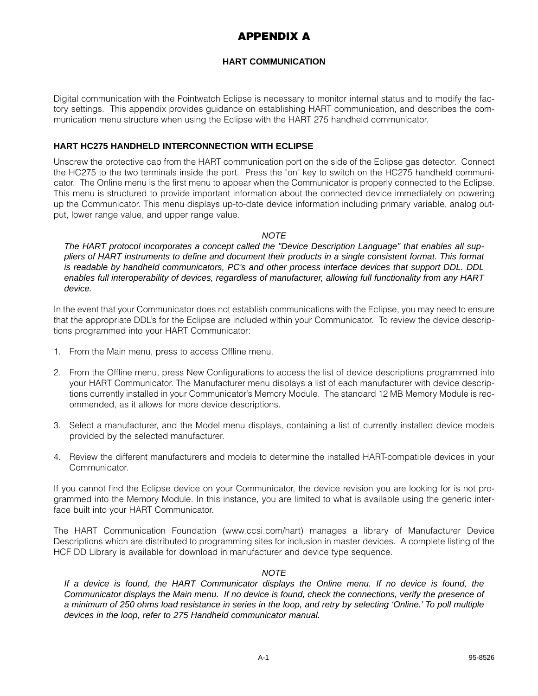# **APPENDIX A**

## **HART COMMUNICATION**

Digital communication with the Pointwatch Eclipse is necessary to monitor internal status and to modify the factory settings. This appendix provides guidance on establishing HART communication, and describes the communication menu structure when using the Eclipse with the HART 275 handheld communicator.

## **HART HC275 HANDHELD INTERCONNECTION WITH ECLIPSE**

Unscrew the protective cap from the HART communication port on the side of the Eclipse gas detector. Connect the HC275 to the two terminals inside the port. Press the "on" key to switch on the HC275 handheld communicator. The Online menu is the first menu to appear when the Communicator is properly connected to the Eclipse. This menu is structured to provide important information about the connected device immediately on powering up the Communicator. This menu displays up-to-date device information including primary variable, analog output, lower range value, and upper range value.

## **NOTE**

The HART protocol incorporates a concept called the "Device Description Language" that enables all suppliers of HART instruments to define and document their products in a single consistent format. This format is readable by handheld communicators, PC's and other process interface devices that support DDL. DDL enables full interoperability of devices, regardless of manufacturer, allowing full functionality from any HART device.

In the event that your Communicator does not establish communications with the Eclipse, you may need to ensure that the appropriate DDL's for the Eclipse are included within your Communicator. To review the device descriptions programmed into your HART Communicator:

- 1. From the Main menu, press to access Offline menu.
- 2. From the Offline menu, press New Configurations to access the list of device descriptions programmed into your HART Communicator. The Manufacturer menu displays a list of each manufacturer with device descriptions currently installed in your Communicator's Memory Module. The standard 12 MB Memory Module is recommended, as it allows for more device descriptions.
- 3. Select a manufacturer, and the Model menu displays, containing a list of currently installed device models provided by the selected manufacturer.
- 4. Review the different manufacturers and models to determine the installed HART-compatible devices in your Communicator.

If you cannot find the Eclipse device on your Communicator, the device revision you are looking for is not programmed into the Memory Module. In this instance, you are limited to what is available using the generic interface built into your HART Communicator.

The HART Communication Foundation (www.ccsi.com/hart) manages a library of Manufacturer Device Descriptions which are distributed to programming sites for inclusion in master devices. A complete listing of the HCF DD Library is available for download in manufacturer and device type sequence.

## **NOTE**

If a device is found, the HART Communicator displays the Online menu. If no device is found, the Communicator displays the Main menu. If no device is found, check the connections, verify the presence of a minimum of 250 ohms load resistance in series in the loop, and retry by selecting 'Online.' To poll multiple devices in the loop, refer to 275 Handheld communicator manual.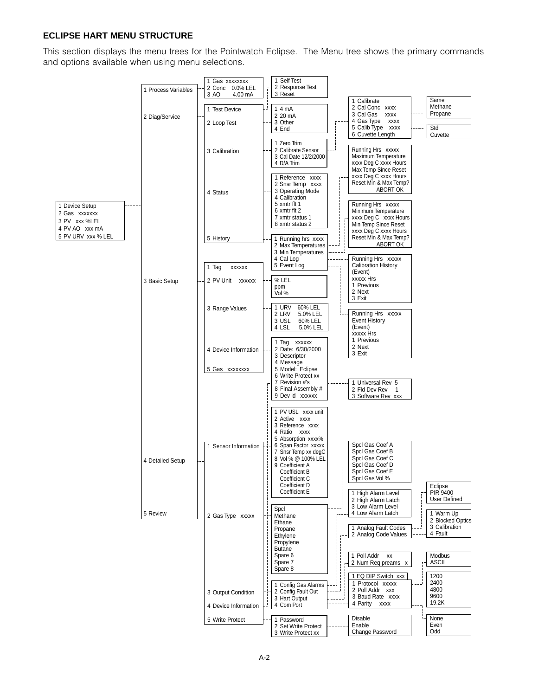## **ECLIPSE HART MENU STRUCTURE**

This section displays the menu trees for the Pointwatch Eclipse. The Menu tree shows the primary commands and options available when using menu selections.

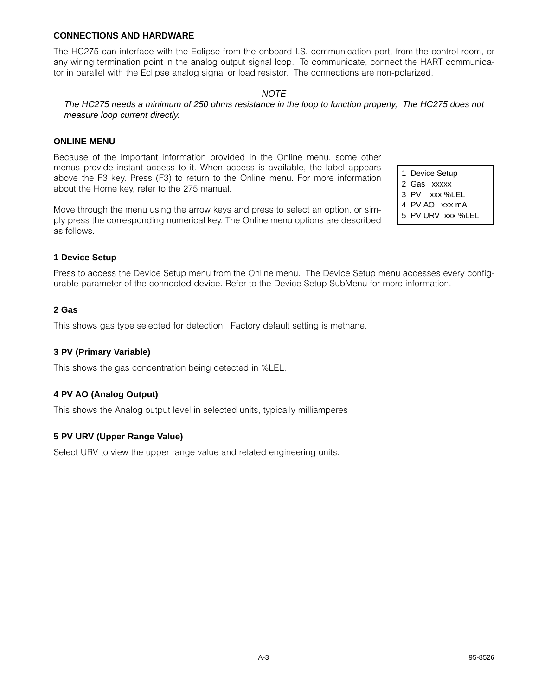#### **CONNECTIONS AND HARDWARE**

The HC275 can interface with the Eclipse from the onboard I.S. communication port, from the control room, or any wiring termination point in the analog output signal loop. To communicate, connect the HART communicator in parallel with the Eclipse analog signal or load resistor. The connections are non-polarized.

#### **NOTE**

The HC275 needs a minimum of 250 ohms resistance in the loop to function properly, The HC275 does not measure loop current directly.

#### **ONLINE MENU**

Because of the important information provided in the Online menu, some other menus provide instant access to it. When access is available, the label appears above the F3 key. Press (F3) to return to the Online menu. For more information about the Home key, refer to the 275 manual.

Move through the menu using the arrow keys and press to select an option, or simply press the corresponding numerical key. The Online menu options are described as follows.

1 Device Setup 2 Gas xxxxx

- 3 PV xxx %LEL
- 4 PV AO xxx mA
- 5 PV URV xxx %LEL

#### **1 Device Setup**

Press to access the Device Setup menu from the Online menu. The Device Setup menu accesses every configurable parameter of the connected device. Refer to the Device Setup SubMenu for more information.

#### **2 Gas**

This shows gas type selected for detection. Factory default setting is methane.

#### **3 PV (Primary Variable)**

This shows the gas concentration being detected in %LEL.

#### **4 PV AO (Analog Output)**

This shows the Analog output level in selected units, typically milliamperes

#### **5 PV URV (Upper Range Value)**

Select URV to view the upper range value and related engineering units.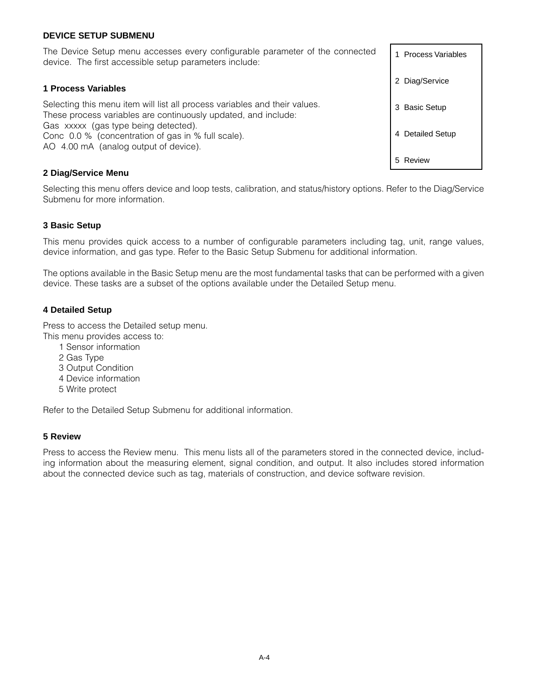#### **DEVICE SETUP SUBMENU**

The Device Setup menu accesses every configurable parameter of the connected device. The first accessible setup parameters include:

#### **1 Process Variables**

Selecting this menu item will list all process variables and their values. These process variables are continuously updated, and include: Gas xxxxx (gas type being detected). Conc 0.0 % (concentration of gas in % full scale). AO 4.00 mA (analog output of device).

#### **2 Diag/Service Menu**

Selecting this menu offers device and loop tests, calibration, and status/history options. Refer to the Diag/Service Submenu for more information.

#### **3 Basic Setup**

This menu provides quick access to a number of configurable parameters including tag, unit, range values, device information, and gas type. Refer to the Basic Setup Submenu for additional information.

The options available in the Basic Setup menu are the most fundamental tasks that can be performed with a given device. These tasks are a subset of the options available under the Detailed Setup menu.

#### **4 Detailed Setup**

Press to access the Detailed setup menu.

- This menu provides access to:
	- 1 Sensor information
	- 2 Gas Type
	- 3 Output Condition
	- 4 Device information
	- 5 Write protect

Refer to the Detailed Setup Submenu for additional information.

#### **5 Review**

Press to access the Review menu. This menu lists all of the parameters stored in the connected device, including information about the measuring element, signal condition, and output. It also includes stored information about the connected device such as tag, materials of construction, and device software revision.

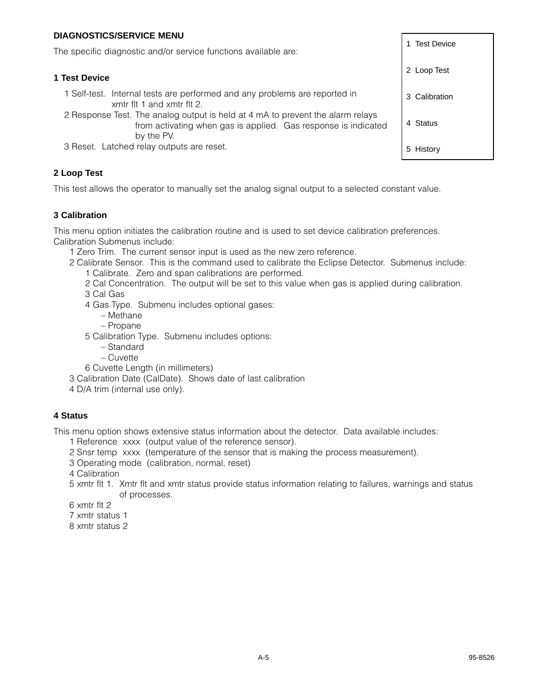## **DIAGNOSTICS/SERVICE MENU**

The specific diagnostic and/or service functions available are:

#### **1 Test Device**

- 1 Self-test. Internal tests are performed and any problems are reported in xmtr flt 1 and xmtr flt 2.
- 2 Response Test. The analog output is held at 4 mA to prevent the alarm relays from activating when gas is applied. Gas response is indicated by the PV.
- 3 Reset. Latched relay outputs are reset.

## **2 Loop Test**

This test allows the operator to manually set the analog signal output to a selected constant value.

## **3 Calibration**

This menu option initiates the calibration routine and is used to set device calibration preferences. Calibration Submenus include:

- 1 Zero Trim. The current sensor input is used as the new zero reference.
- 2 Calibrate Sensor. This is the command used to calibrate the Eclipse Detector. Submenus include: 1 Calibrate. Zero and span calibrations are performed.
	- 2 Cal Concentration. The output will be set to this value when gas is applied during calibration.
	- 3 Cal Gas
	- 4 Gas Type. Submenu includes optional gases:
		- Methane
		- Propane
	- 5 Calibration Type. Submenu includes options:
		- Standard
		- Cuvette
	- 6 Cuvette Length (in millimeters)
- 3 Calibration Date (CalDate). Shows date of last calibration
- 4 D/A trim (internal use only).

## **4 Status**

This menu option shows extensive status information about the detector. Data available includes:

- 1 Reference xxxx (output value of the reference sensor).
- 2 Snsr temp xxxx (temperature of the sensor that is making the process measurement).
- 3 Operating mode (calibration, normal, reset)
- 4 Calibration
- 5 xmtr flt 1. Xmtr flt and xmtr status provide status information relating to failures, warnings and status of processes.
- 6 xmtr flt 2
- 7 xmtr status 1
- 8 xmtr status 2

2 Loop Test 3 Calibration 4 Status

5 History

1 Test Device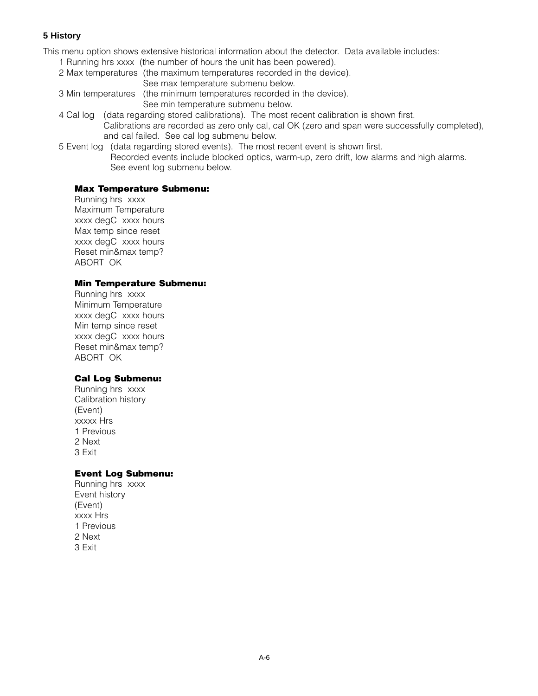## **5 History**

This menu option shows extensive historical information about the detector. Data available includes:

- 1 Running hrs xxxx (the number of hours the unit has been powered).
- 2 Max temperatures (the maximum temperatures recorded in the device). See max temperature submenu below.
- 3 Min temperatures (the minimum temperatures recorded in the device). See min temperature submenu below.
- 4 Cal log (data regarding stored calibrations). The most recent calibration is shown first. Calibrations are recorded as zero only cal, cal OK (zero and span were successfully completed), and cal failed. See cal log submenu below.
- 5 Event log (data regarding stored events). The most recent event is shown first. Recorded events include blocked optics, warm-up, zero drift, low alarms and high alarms. See event log submenu below.

## **Max Temperature Submenu:**

Running hrs xxxx Maximum Temperature xxxx degC xxxx hours Max temp since reset xxxx degC xxxx hours Reset min&max temp? ABORT OK

#### **Min Temperature Submenu:**

Running hrs xxxx Minimum Temperature xxxx degC xxxx hours Min temp since reset xxxx degC xxxx hours Reset min&max temp? ABORT OK

## **Cal Log Submenu:**

Running hrs xxxx Calibration history (Event) xxxxx Hrs 1 Previous 2 Next 3 Exit

## **Event Log Submenu:**

Running hrs xxxx Event history (Event) xxxx Hrs 1 Previous 2 Next 3 Exit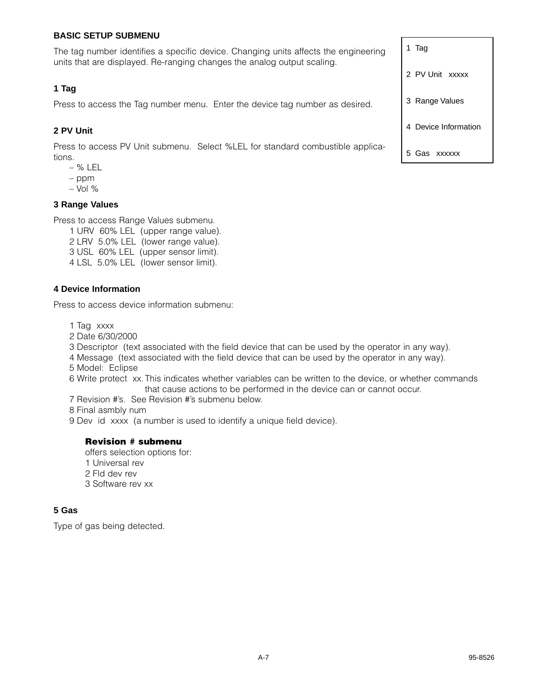### **BASIC SETUP SUBMENU**

The tag number identifies a specific device. Changing units affects the engineering units that are displayed. Re-ranging changes the analog output scaling.

#### **1 Tag**

Press to access the Tag number menu. Enter the device tag number as desired.

#### **2 PV Unit**

Press to access PV Unit submenu. Select %LEL for standard combustible applications.

- % LEL
- ppm
- $-$  Vol  $%$

#### **3 Range Values**

Press to access Range Values submenu.

1 URV 60% LEL (upper range value). 2 LRV 5.0% LEL (lower range value). 3 USL 60% LEL (upper sensor limit). 4 LSL 5.0% LEL (lower sensor limit).

#### **4 Device Information**

Press to access device information submenu:

1 Tag xxxx

2 Date 6/30/2000

3 Descriptor (text associated with the field device that can be used by the operator in any way).

- 4 Message (text associated with the field device that can be used by the operator in any way).
- 5 Model: Eclipse
- 6 Write protect xx.This indicates whether variables can be written to the device, or whether commands that cause actions to be performed in the device can or cannot occur.
- 7 Revision #'s. See Revision #'s submenu below.

8 Final asmbly num

9 Dev id xxxx (a number is used to identify a unique field device).

#### **Revision # submenu**

offers selection options for: 1 Universal rev 2 Fld dev rev 3 Software rev xx

#### **5 Gas**

Type of gas being detected.

2 PV Unit xxxxx 3 Range Values 4 Device Information

5 Gas xxxxxx

1 Tag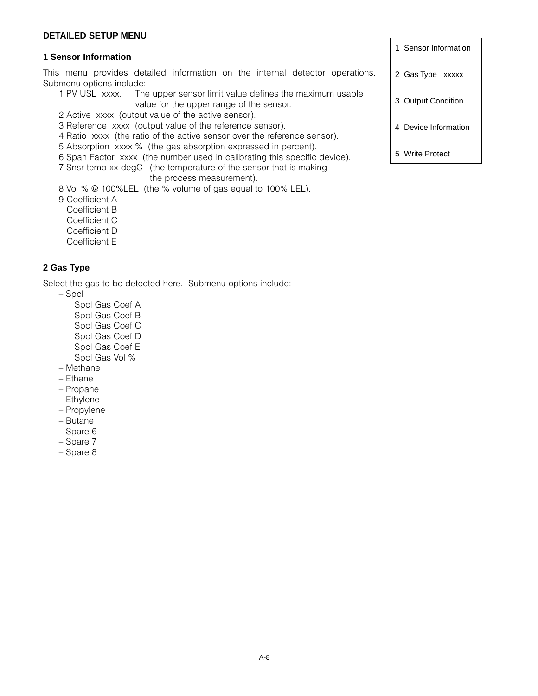#### **DETAILED SETUP MENU**

#### **1 Sensor Information**

This menu provides detailed information on the internal detector operations. Submenu options include:

- 1 PV USL xxxx. The upper sensor limit value defines the maximum usable value for the upper range of the sensor.
- 2 Active xxxx (output value of the active sensor).
- 3 Reference xxxx (output value of the reference sensor).
- 4 Ratio xxxx (the ratio of the active sensor over the reference sensor).
- 5 Absorption xxxx % (the gas absorption expressed in percent).
- 6 Span Factor xxxx (the number used in calibrating this specific device).
- 7 Snsr temp xx degC (the temperature of the sensor that is making

the process measurement).

8 Vol % @ 100%LEL (the % volume of gas equal to 100% LEL).

9 Coefficient A

Coefficient B

Coefficient C

- Coefficient D
- Coefficient E

## **2 Gas Type**

Select the gas to be detected here. Submenu options include:

– Spcl

- Spcl Gas Coef A Spcl Gas Coef B Spcl Gas Coef C Spcl Gas Coef D Spcl Gas Coef E
- Spcl Gas Vol %
- Methane
- Ethane
- Propane
- Ethylene
- Propylene
- Butane
- Spare 6
- Spare 7
- Spare 8

1 Sensor Information

- 2 Gas Type xxxxx
- 3 Output Condition
- 4 Device Information
- 5 Write Protect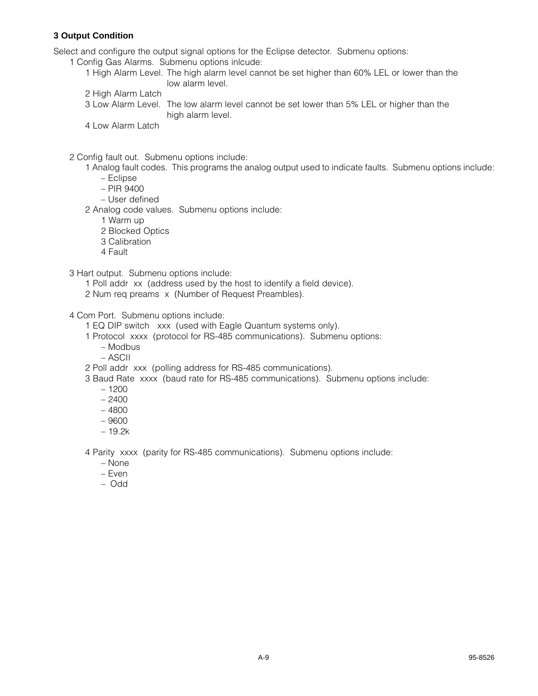## **3 Output Condition**

Select and configure the output signal options for the Eclipse detector. Submenu options:

1 Config Gas Alarms. Submenu options inlcude:

- 1 High Alarm Level. The high alarm level cannot be set higher than 60% LEL or lower than the low alarm level.
- 2 High Alarm Latch
- 3 Low Alarm Level. The low alarm level cannot be set lower than 5% LEL or higher than the high alarm level.
- 4 Low Alarm Latch

2 Config fault out. Submenu options include:

- 1 Analog fault codes. This programs the analog output used to indicate faults. Submenu options include:
	- Eclipse
	- PIR 9400
	- User defined
- 2 Analog code values. Submenu options include:
	- 1 Warm up
	- 2 Blocked Optics
	- 3 Calibration
	- 4 Fault

3 Hart output. Submenu options include:

- 1 Poll addr xx (address used by the host to identify a field device).
- 2 Num req preams x (Number of Request Preambles).

#### 4 Com Port. Submenu options include:

1 EQ DIP switch xxx (used with Eagle Quantum systems only).

- 1 Protocol xxxx (protocol for RS-485 communications). Submenu options:
	- Modbus
	- ASCII
- 2 Poll addr xxx (polling address for RS-485 communications).
- 3 Baud Rate xxxx (baud rate for RS-485 communications). Submenu options include:
	- 1200
	- $-2400$
	- 4800
	- 9600
	- 19.2k

4 Parity xxxx (parity for RS-485 communications). Submenu options include:

- None
- Even
- Odd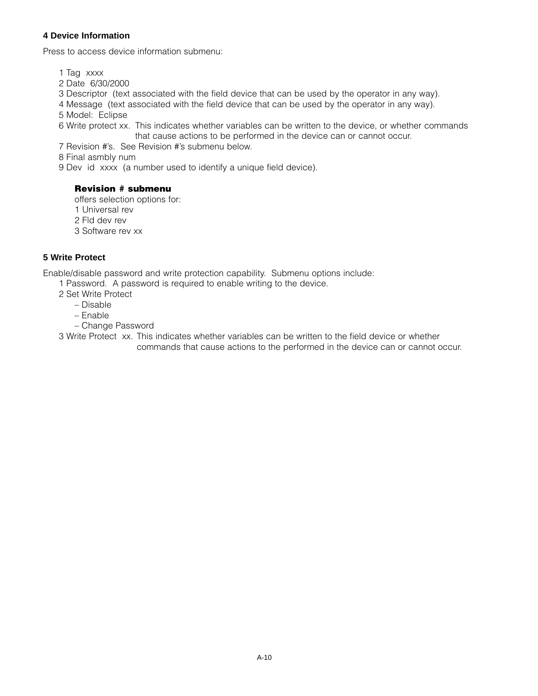## **4 Device Information**

Press to access device information submenu:

1 Tag xxxx

- 2 Date 6/30/2000
- 3 Descriptor (text associated with the field device that can be used by the operator in any way).
- 4 Message (text associated with the field device that can be used by the operator in any way).

5 Model: Eclipse

6 Write protect xx. This indicates whether variables can be written to the device, or whether commands that cause actions to be performed in the device can or cannot occur.

7 Revision #'s. See Revision #'s submenu below.

8 Final asmbly num

9 Dev id xxxx (a number used to identify a unique field device).

## **Revision # submenu**

offers selection options for:

- 1 Universal rev
- 2 Fld dev rev
- 3 Software rev xx

## **5 Write Protect**

Enable/disable password and write protection capability. Submenu options include:

- 1 Password. A password is required to enable writing to the device.
	- 2 Set Write Protect
		- Disable
		- Enable
		- Change Password

3 Write Protect xx. This indicates whether variables can be written to the field device or whether commands that cause actions to the performed in the device can or cannot occur.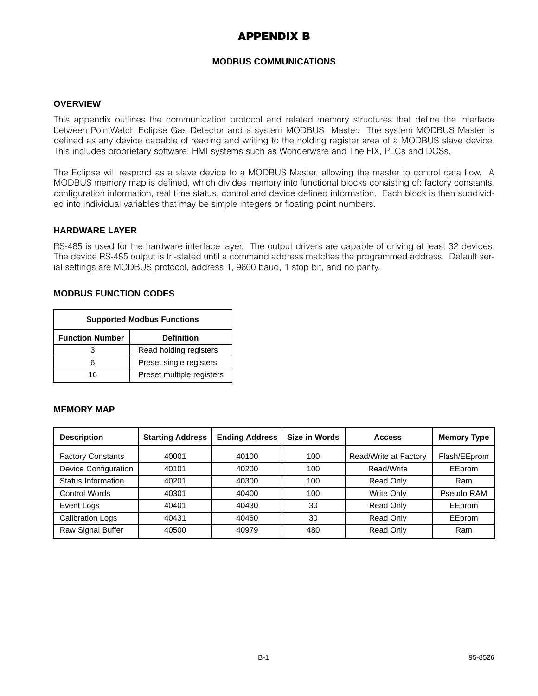# **APPENDIX B**

#### **MODBUS COMMUNICATIONS**

#### **OVERVIEW**

This appendix outlines the communication protocol and related memory structures that define the interface between PointWatch Eclipse Gas Detector and a system MODBUS Master. The system MODBUS Master is defined as any device capable of reading and writing to the holding register area of a MODBUS slave device. This includes proprietary software, HMI systems such as Wonderware and The FIX, PLCs and DCSs.

The Eclipse will respond as a slave device to a MODBUS Master, allowing the master to control data flow. A MODBUS memory map is defined, which divides memory into functional blocks consisting of: factory constants, configuration information, real time status, control and device defined information. Each block is then subdivided into individual variables that may be simple integers or floating point numbers.

#### **HARDWARE LAYER**

RS-485 is used for the hardware interface layer. The output drivers are capable of driving at least 32 devices. The device RS-485 output is tri-stated until a command address matches the programmed address. Default serial settings are MODBUS protocol, address 1, 9600 baud, 1 stop bit, and no parity.

#### **MODBUS FUNCTION CODES**

| <b>Supported Modbus Functions</b>           |                           |  |  |
|---------------------------------------------|---------------------------|--|--|
| <b>Function Number</b><br><b>Definition</b> |                           |  |  |
|                                             | Read holding registers    |  |  |
| հ                                           | Preset single registers   |  |  |
| 16                                          | Preset multiple registers |  |  |

#### **MEMORY MAP**

| <b>Description</b>       | <b>Starting Address</b> | <b>Ending Address</b> | Size in Words | <b>Access</b>         | <b>Memory Type</b> |
|--------------------------|-------------------------|-----------------------|---------------|-----------------------|--------------------|
| <b>Factory Constants</b> | 40001                   | 40100                 | 100           | Read/Write at Factory | Flash/EEprom       |
| Device Configuration     | 40101                   | 40200                 | 100           | Read/Write            | EEprom             |
| Status Information       | 40201                   | 40300                 | 100           | Read Only             | Ram                |
| <b>Control Words</b>     | 40301                   | 40400                 | 100           | Write Only            | Pseudo RAM         |
| Event Logs               | 40401                   | 40430                 | 30            | Read Only             | EEprom             |
| <b>Calibration Logs</b>  | 40431                   | 40460                 | 30            | Read Only             | EEprom             |
| Raw Signal Buffer        | 40500                   | 40979                 | 480           | Read Only             | Ram                |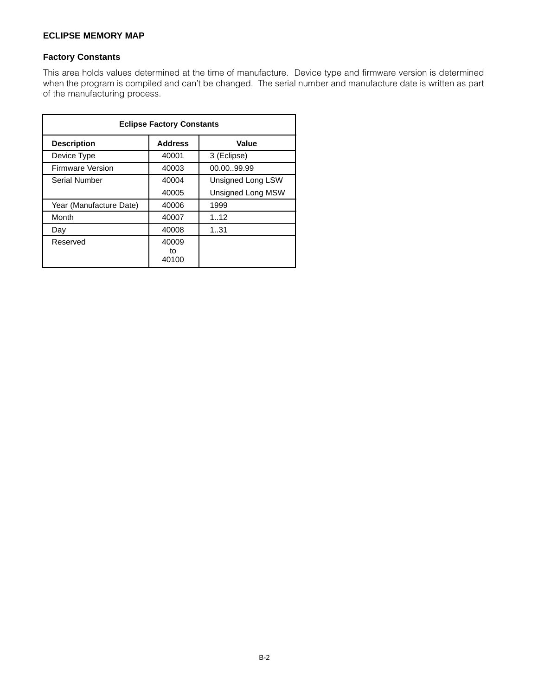## **ECLIPSE MEMORY MAP**

#### **Factory Constants**

This area holds values determined at the time of manufacture. Device type and firmware version is determined when the program is compiled and can't be changed. The serial number and manufacture date is written as part of the manufacturing process.

| <b>Eclipse Factory Constants</b> |                      |                          |  |  |
|----------------------------------|----------------------|--------------------------|--|--|
| <b>Description</b>               | <b>Address</b>       | Value                    |  |  |
| Device Type                      | 40001                | 3 (Eclipse)              |  |  |
| <b>Firmware Version</b>          | 40003                | 00.00.99.99              |  |  |
| Serial Number                    | 40004                | Unsigned Long LSW        |  |  |
|                                  | 40005                | <b>Unsigned Long MSW</b> |  |  |
| Year (Manufacture Date)          | 40006                | 1999                     |  |  |
| Month                            | 40007                | 1.12                     |  |  |
| Day                              | 40008                | 131                      |  |  |
| Reserved                         | 40009<br>tο<br>40100 |                          |  |  |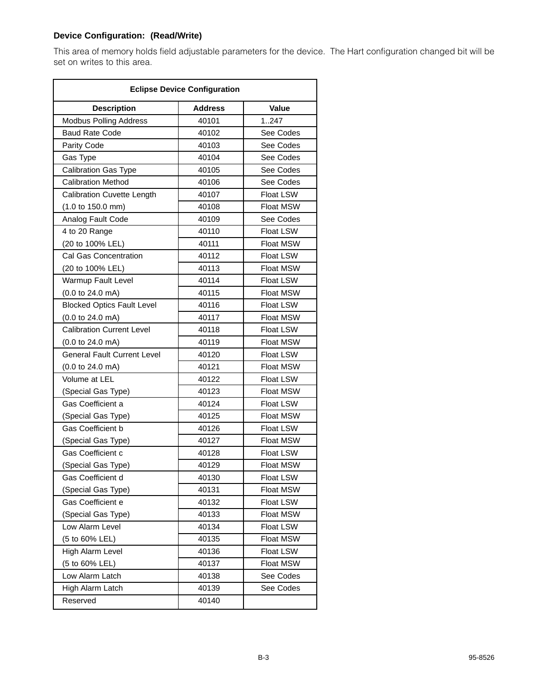## **Device Configuration: (Read/Write)**

This area of memory holds field adjustable parameters for the device. The Hart configuration changed bit will be set on writes to this area.

| <b>Eclipse Device Configuration</b> |                |                  |  |
|-------------------------------------|----------------|------------------|--|
| <b>Description</b>                  | <b>Address</b> | Value            |  |
| <b>Modbus Polling Address</b>       | 40101          | 1247             |  |
| <b>Baud Rate Code</b>               | 40102          | See Codes        |  |
| Parity Code                         | 40103          | See Codes        |  |
| Gas Type                            | 40104          | See Codes        |  |
| Calibration Gas Type                | 40105          | See Codes        |  |
| <b>Calibration Method</b>           | 40106          | See Codes        |  |
| <b>Calibration Cuvette Length</b>   | 40107          | <b>Float LSW</b> |  |
| (1.0 to 150.0 mm)                   | 40108          | <b>Float MSW</b> |  |
| Analog Fault Code                   | 40109          | See Codes        |  |
| 4 to 20 Range                       | 40110          | <b>Float LSW</b> |  |
| (20 to 100% LEL)                    | 40111          | <b>Float MSW</b> |  |
| Cal Gas Concentration               | 40112          | <b>Float LSW</b> |  |
| (20 to 100% LEL)                    | 40113          | <b>Float MSW</b> |  |
| Warmup Fault Level                  | 40114          | Float LSW        |  |
| $(0.0 \text{ to } 24.0 \text{ mA})$ | 40115          | <b>Float MSW</b> |  |
| <b>Blocked Optics Fault Level</b>   | 40116          | <b>Float LSW</b> |  |
| (0.0 to 24.0 mA)                    | 40117          | Float MSW        |  |
| <b>Calibration Current Level</b>    | 40118          | Float LSW        |  |
| $(0.0 \text{ to } 24.0 \text{ mA})$ | 40119          | <b>Float MSW</b> |  |
| <b>General Fault Current Level</b>  | 40120          | Float LSW        |  |
| $(0.0 \text{ to } 24.0 \text{ mA})$ | 40121          | <b>Float MSW</b> |  |
| Volume at LEL                       | 40122          | <b>Float LSW</b> |  |
| (Special Gas Type)                  | 40123          | <b>Float MSW</b> |  |
| Gas Coefficient a                   | 40124          | <b>Float LSW</b> |  |
| (Special Gas Type)                  | 40125          | <b>Float MSW</b> |  |
| <b>Gas Coefficient b</b>            | 40126          | <b>Float LSW</b> |  |
| (Special Gas Type)                  | 40127          | <b>Float MSW</b> |  |
| <b>Gas Coefficient c</b>            | 40128          | Float LSW        |  |
| (Special Gas Type)                  | 40129          | <b>Float MSW</b> |  |
| Gas Coefficient d                   | 40130          | Float LSW        |  |
| (Special Gas Type)                  | 40131          | Float MSW        |  |
| Gas Coefficient e                   | 40132          | Float LSW        |  |
| (Special Gas Type)                  | 40133          | Float MSW        |  |
| Low Alarm Level                     | 40134          | Float LSW        |  |
| (5 to 60% LEL)                      | 40135          | Float MSW        |  |
| High Alarm Level                    | 40136          | Float LSW        |  |
| (5 to 60% LEL)                      | 40137          | Float MSW        |  |
| Low Alarm Latch                     | 40138          | See Codes        |  |
| High Alarm Latch                    | 40139          | See Codes        |  |
| Reserved                            | 40140          |                  |  |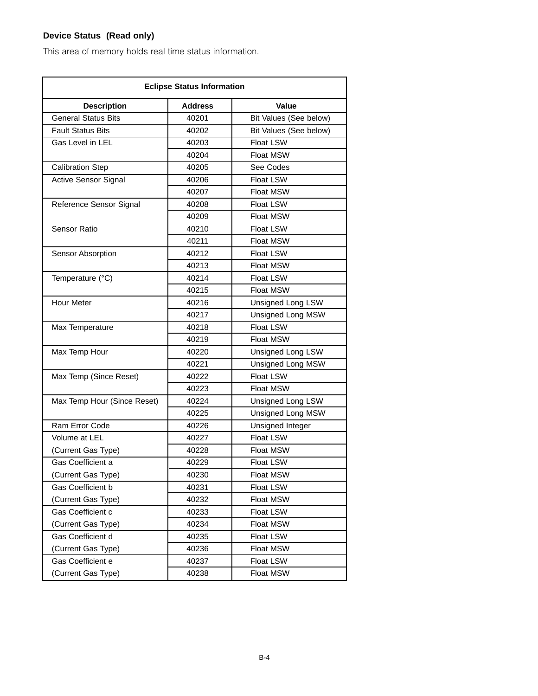# **Device Status (Read only)**

This area of memory holds real time status information.

| <b>Eclipse Status Information</b> |                |                          |
|-----------------------------------|----------------|--------------------------|
| <b>Description</b>                | <b>Address</b> | <b>Value</b>             |
| <b>General Status Bits</b>        | 40201          | Bit Values (See below)   |
| <b>Fault Status Bits</b>          | 40202          | Bit Values (See below)   |
| Gas Level in LEL                  | 40203          | <b>Float LSW</b>         |
|                                   | 40204          | <b>Float MSW</b>         |
| <b>Calibration Step</b>           | 40205          | See Codes                |
| <b>Active Sensor Signal</b>       | 40206          | <b>Float LSW</b>         |
|                                   | 40207          | <b>Float MSW</b>         |
| Reference Sensor Signal           | 40208          | Float LSW                |
|                                   | 40209          | <b>Float MSW</b>         |
| Sensor Ratio                      | 40210          | <b>Float LSW</b>         |
|                                   | 40211          | <b>Float MSW</b>         |
| Sensor Absorption                 | 40212          | <b>Float LSW</b>         |
|                                   | 40213          | <b>Float MSW</b>         |
| Temperature (°C)                  | 40214          | <b>Float LSW</b>         |
|                                   | 40215          | <b>Float MSW</b>         |
| <b>Hour Meter</b>                 | 40216          | <b>Unsigned Long LSW</b> |
|                                   | 40217          | Unsigned Long MSW        |
| Max Temperature                   | 40218          | Float LSW                |
|                                   | 40219          | <b>Float MSW</b>         |
| Max Temp Hour                     | 40220          | Unsigned Long LSW        |
|                                   | 40221          | Unsigned Long MSW        |
| Max Temp (Since Reset)            | 40222          | Float LSW                |
|                                   | 40223          | <b>Float MSW</b>         |
| Max Temp Hour (Since Reset)       | 40224          | <b>Unsigned Long LSW</b> |
|                                   | 40225          | Unsigned Long MSW        |
| Ram Error Code                    | 40226          | Unsigned Integer         |
| Volume at LEL                     | 40227          | <b>Float LSW</b>         |
| (Current Gas Type)                | 40228          | <b>Float MSW</b>         |
| Gas Coefficient a                 | 40229          | <b>Float LSW</b>         |
| (Current Gas Type)                | 40230          | Float MSW                |
| Gas Coefficient b                 | 40231          | Float LSW                |
| (Current Gas Type)                | 40232          | Float MSW                |
| Gas Coefficient c                 | 40233          | <b>Float LSW</b>         |
| (Current Gas Type)                | 40234          | Float MSW                |
| Gas Coefficient d                 | 40235          | Float LSW                |
| (Current Gas Type)                | 40236          | Float MSW                |
| Gas Coefficient e                 | 40237          | Float LSW                |
| (Current Gas Type)                | 40238          | Float MSW                |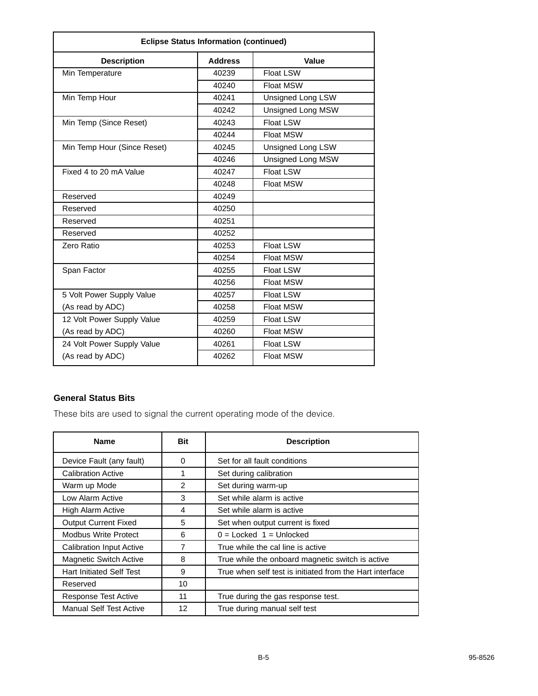| <b>Eclipse Status Information (continued)</b> |       |                          |  |
|-----------------------------------------------|-------|--------------------------|--|
| <b>Address</b><br><b>Description</b><br>Value |       |                          |  |
| Min Temperature                               | 40239 | <b>Float LSW</b>         |  |
|                                               | 40240 | <b>Float MSW</b>         |  |
| Min Temp Hour                                 | 40241 | Unsigned Long LSW        |  |
|                                               | 40242 | <b>Unsigned Long MSW</b> |  |
| Min Temp (Since Reset)                        | 40243 | <b>Float LSW</b>         |  |
|                                               | 40244 | Float MSW                |  |
| Min Temp Hour (Since Reset)                   | 40245 | Unsigned Long LSW        |  |
|                                               | 40246 | Unsigned Long MSW        |  |
| Fixed 4 to 20 mA Value                        | 40247 | Float LSW                |  |
|                                               | 40248 | <b>Float MSW</b>         |  |
| Reserved                                      | 40249 |                          |  |
| Reserved                                      | 40250 |                          |  |
| Reserved                                      | 40251 |                          |  |
| Reserved                                      | 40252 |                          |  |
| Zero Ratio                                    | 40253 | <b>Float LSW</b>         |  |
|                                               | 40254 | <b>Float MSW</b>         |  |
| Span Factor                                   | 40255 | <b>Float LSW</b>         |  |
|                                               | 40256 | <b>Float MSW</b>         |  |
| 5 Volt Power Supply Value                     | 40257 | <b>Float LSW</b>         |  |
| (As read by ADC)                              | 40258 | Float MSW                |  |
| 12 Volt Power Supply Value                    | 40259 | <b>Float LSW</b>         |  |
| (As read by ADC)                              | 40260 | Float MSW                |  |
| 24 Volt Power Supply Value                    | 40261 | <b>Float LSW</b>         |  |
| (As read by ADC)                              | 40262 | <b>Float MSW</b>         |  |

## **General Status Bits**

These bits are used to signal the current operating mode of the device.

| <b>Name</b>                     | <b>Bit</b> | <b>Description</b>                                       |
|---------------------------------|------------|----------------------------------------------------------|
| Device Fault (any fault)        | 0          | Set for all fault conditions                             |
| Calibration Active              | 1          | Set during calibration                                   |
| Warm up Mode                    | 2          | Set during warm-up                                       |
| Low Alarm Active                | 3          | Set while alarm is active                                |
| High Alarm Active               | 4          | Set while alarm is active                                |
| <b>Output Current Fixed</b>     | 5          | Set when output current is fixed                         |
| <b>Modbus Write Protect</b>     | 6          | $0 =$ Locked $1 =$ Unlocked                              |
| <b>Calibration Input Active</b> | 7          | True while the cal line is active                        |
| <b>Magnetic Switch Active</b>   | 8          | True while the onboard magnetic switch is active         |
| <b>Hart Initiated Self Test</b> | 9          | True when self test is initiated from the Hart interface |
| Reserved                        | 10         |                                                          |
| Response Test Active            | 11         | True during the gas response test.                       |
| <b>Manual Self Test Active</b>  | 12         | True during manual self test                             |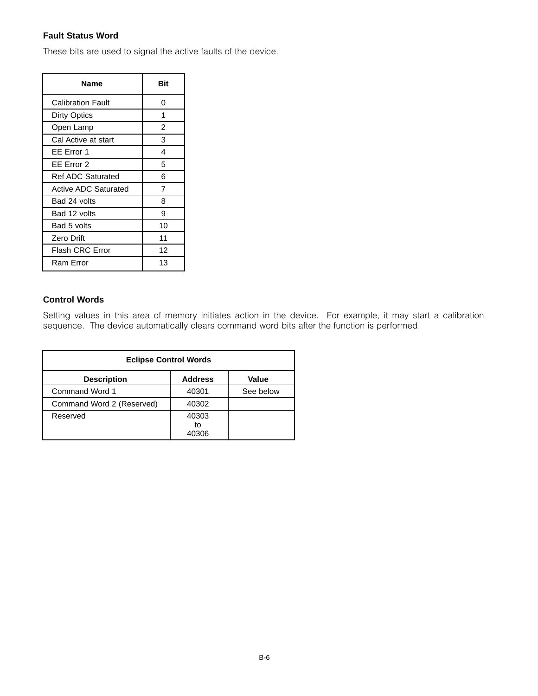## **Fault Status Word**

These bits are used to signal the active faults of the device.

| Name                        | Bit            |
|-----------------------------|----------------|
| <b>Calibration Fault</b>    | 0              |
| Dirty Optics                | 1              |
| Open Lamp                   | $\overline{2}$ |
| Cal Active at start         | 3              |
| EE Error 1                  | 4              |
| EE Error 2                  | 5              |
| <b>Ref ADC Saturated</b>    | 6              |
| <b>Active ADC Saturated</b> | 7              |
| Bad 24 volts                | 8              |
| Bad 12 volts                | 9              |
| Bad 5 volts                 | 10             |
| <b>Zero Drift</b>           | 11             |
| Flash CRC Error             | 12             |
| Ram Error                   | 13             |

## **Control Words**

Setting values in this area of memory initiates action in the device. For example, it may start a calibration sequence. The device automatically clears command word bits after the function is performed.

| <b>Eclipse Control Words</b> |                      |           |
|------------------------------|----------------------|-----------|
| <b>Description</b>           | <b>Address</b>       | Value     |
| Command Word 1               | 40301                | See below |
| Command Word 2 (Reserved)    | 40302                |           |
| Reserved                     | 40303<br>to<br>40306 |           |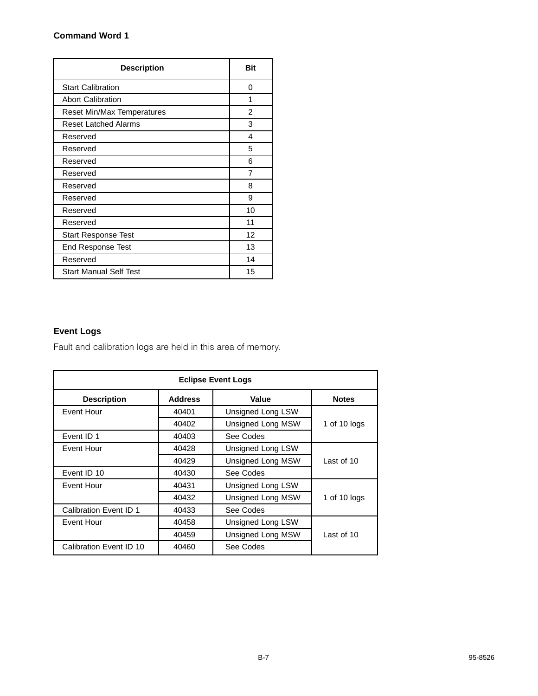## **Command Word 1**

| <b>Description</b>          | Bit |
|-----------------------------|-----|
| <b>Start Calibration</b>    | 0   |
| <b>Abort Calibration</b>    | 1   |
| Reset Min/Max Temperatures  | 2   |
| <b>Reset Latched Alarms</b> | 3   |
| Reserved                    | 4   |
| Reserved                    | 5   |
| Reserved                    | 6   |
| Reserved                    | 7   |
| Reserved                    | 8   |
| Reserved                    | 9   |
| Reserved                    | 10  |
| Reserved                    | 11  |
| <b>Start Response Test</b>  | 12  |
| End Response Test           | 13  |
| Reserved                    | 14  |
| Start Manual Self Test      | 15  |

# **Event Logs**

Fault and calibration logs are held in this area of memory.

| <b>Eclipse Event Logs</b> |                |                   |                 |
|---------------------------|----------------|-------------------|-----------------|
| <b>Description</b>        | <b>Address</b> | Value             | <b>Notes</b>    |
| Event Hour                | 40401          | Unsigned Long LSW |                 |
|                           | 40402          | Unsigned Long MSW | 1 of 10 $log s$ |
| Event ID 1                | 40403          | See Codes         |                 |
| Event Hour                | 40428          | Unsigned Long LSW |                 |
|                           | 40429          | Unsigned Long MSW | Last of 10      |
| Event ID 10               | 40430          | See Codes         |                 |
| Event Hour                | 40431          | Unsigned Long LSW |                 |
|                           | 40432          | Unsigned Long MSW | 1 of 10 $log s$ |
| Calibration Event ID 1    | 40433          | See Codes         |                 |
| Event Hour                | 40458          | Unsigned Long LSW |                 |
|                           | 40459          | Unsigned Long MSW | Last of 10      |
| Calibration Event ID 10   | 40460          | See Codes         |                 |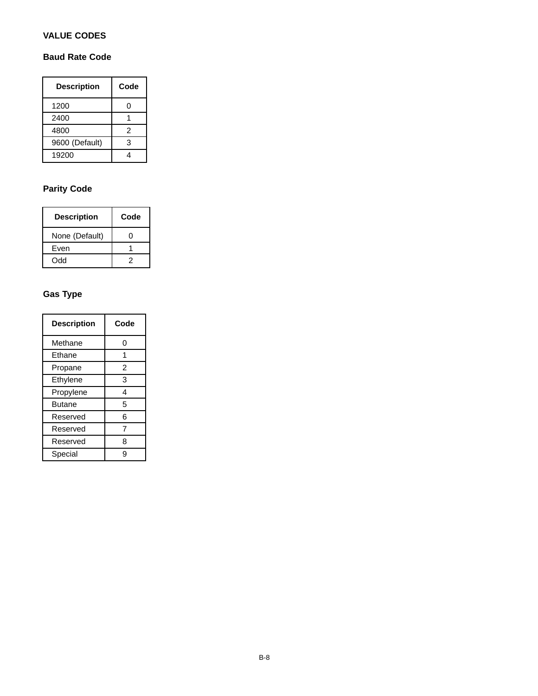## **VALUE CODES**

## **Baud Rate Code**

| <b>Description</b> | Code           |
|--------------------|----------------|
| 1200               | ი              |
| 2400               |                |
| 4800               | $\mathfrak{p}$ |
| 9600 (Default)     | 3              |
| 19200              |                |

# **Parity Code**

| <b>Description</b> | Code |
|--------------------|------|
| None (Default)     |      |
| Even               |      |
| Odd                | 2    |

# **Gas Type**

| <b>Description</b> | Code |
|--------------------|------|
| Methane            | 0    |
| Ethane             | 1    |
| Propane            | 2    |
| Ethylene           | 3    |
| Propylene          | 4    |
| <b>Butane</b>      | 5    |
| Reserved           | 6    |
| Reserved           | 7    |
| Reserved           | 8    |
| Special            | g    |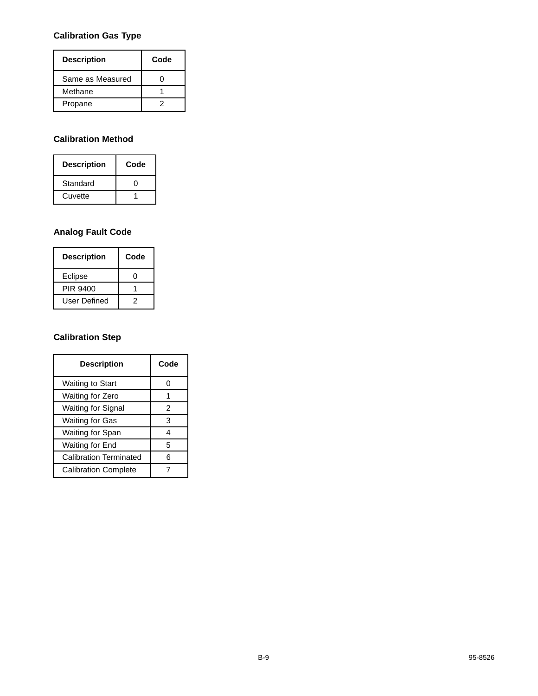# **Calibration Gas Type**

| <b>Description</b> | Code |
|--------------------|------|
| Same as Measured   |      |
| Methane            |      |
| Propane            |      |

## **Calibration Method**

| <b>Description</b> | Code |
|--------------------|------|
| Standard           |      |
| Cuvette            |      |

## **Analog Fault Code**

| <b>Description</b> | Code |
|--------------------|------|
| Eclipse            |      |
| PIR 9400           |      |
| User Defined       |      |

# **Calibration Step**

| <b>Description</b>            | Code |
|-------------------------------|------|
| Waiting to Start              |      |
| Waiting for Zero              |      |
| Waiting for Signal            | 2    |
| Waiting for Gas               | 3    |
| Waiting for Span              | 4    |
| Waiting for End               | 5    |
| <b>Calibration Terminated</b> | հ    |
| <b>Calibration Complete</b>   |      |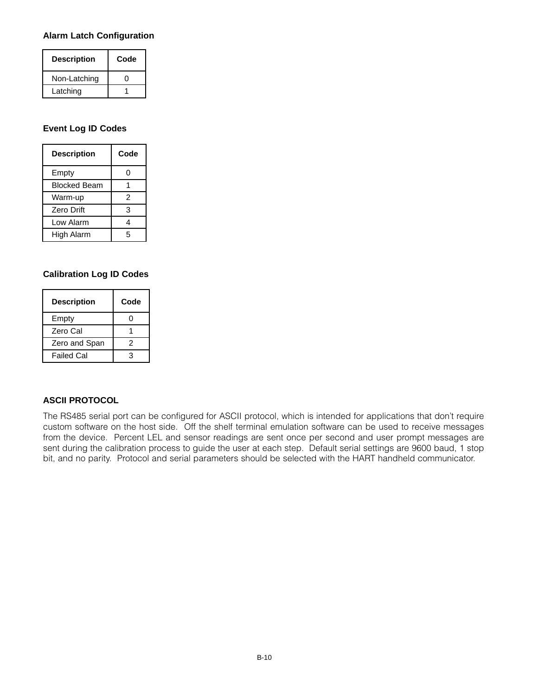#### **Alarm Latch Configuration**

| <b>Description</b> | Code |
|--------------------|------|
| Non-Latching       |      |
| Latching           |      |

## **Event Log ID Codes**

| <b>Description</b>  | Code |
|---------------------|------|
| Empty               | 0    |
| <b>Blocked Beam</b> |      |
| Warm-up             | 2    |
| Zero Drift          | 3    |
| Low Alarm           | 4    |
| High Alarm          | 5    |

## **Calibration Log ID Codes**

| <b>Description</b> | Code |
|--------------------|------|
| Empty              | Π    |
| Zero Cal           |      |
| Zero and Span      | 2    |
| <b>Failed Cal</b>  | з    |

## **ASCII PROTOCOL**

The RS485 serial port can be configured for ASCII protocol, which is intended for applications that don't require custom software on the host side. Off the shelf terminal emulation software can be used to receive messages from the device. Percent LEL and sensor readings are sent once per second and user prompt messages are sent during the calibration process to guide the user at each step. Default serial settings are 9600 baud, 1 stop bit, and no parity. Protocol and serial parameters should be selected with the HART handheld communicator.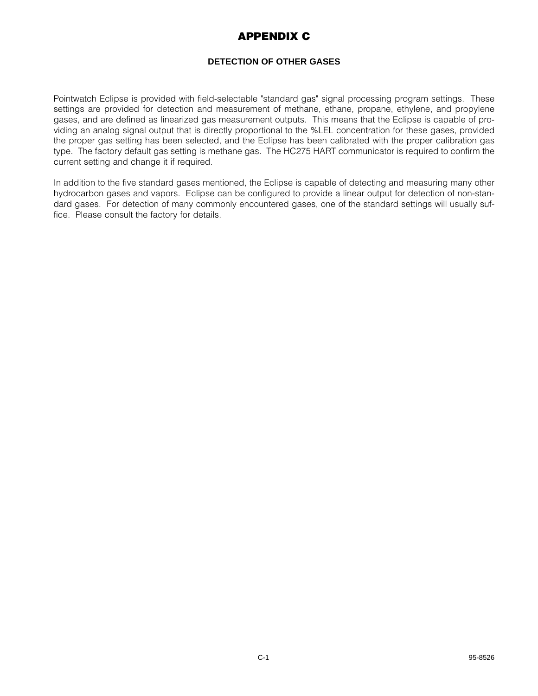# **APPENDIX C**

## **DETECTION OF OTHER GASES**

Pointwatch Eclipse is provided with field-selectable "standard gas" signal processing program settings. These settings are provided for detection and measurement of methane, ethane, propane, ethylene, and propylene gases, and are defined as linearized gas measurement outputs. This means that the Eclipse is capable of providing an analog signal output that is directly proportional to the %LEL concentration for these gases, provided the proper gas setting has been selected, and the Eclipse has been calibrated with the proper calibration gas type. The factory default gas setting is methane gas. The HC275 HART communicator is required to confirm the current setting and change it if required.

In addition to the five standard gases mentioned, the Eclipse is capable of detecting and measuring many other hydrocarbon gases and vapors. Eclipse can be configured to provide a linear output for detection of non-standard gases. For detection of many commonly encountered gases, one of the standard settings will usually suffice. Please consult the factory for details.